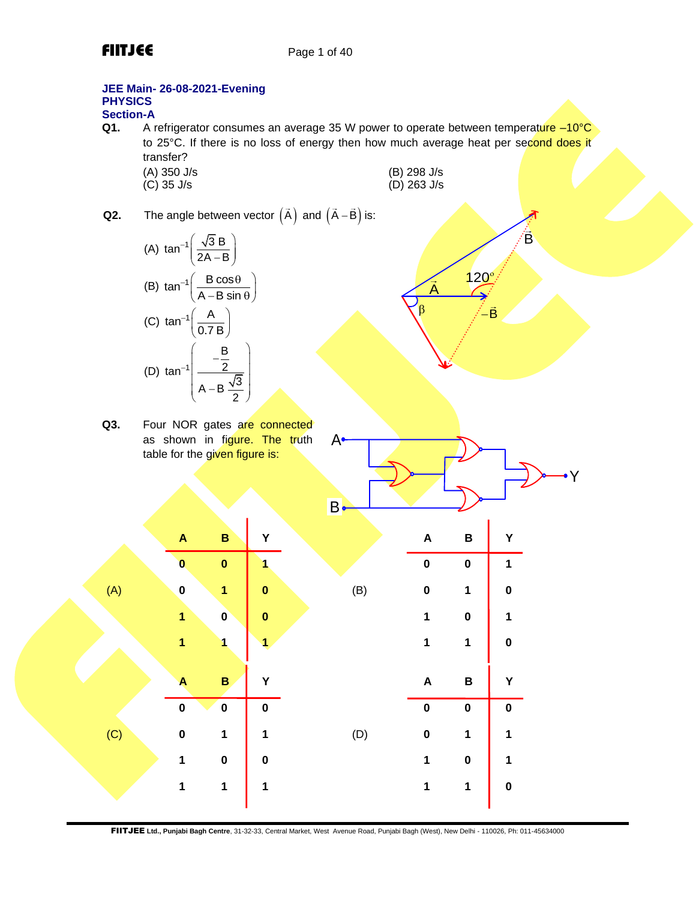

### **JEE Main- 26-08-2021-Evening PHYSICS**

# **Section-A**<br>**Q1.** An

A refrigerator consumes an average 35 W power to operate between temperature –10°C to 25°C. If there is no loss of energy then how much average heat per second does it

A

A

 $\beta$ 

 $120^\circ$ 

−B

B

Y

| transfer?     |               |
|---------------|---------------|
| $(A)$ 350 J/s | (B) 298 J/s   |
| $(C)$ 35 J/s  | $(D)$ 263 J/s |

**Q2.** The angle between vector  $(A)$  and  $(A - B)$  is:

(A) 
$$
\tan^{-1} \left( \frac{\sqrt{3} B}{2A - B} \right)
$$
  
\n(B)  $\tan^{-1} \left( \frac{B \cos \theta}{A - B \sin \theta} \right)$   
\n(C)  $\tan^{-1} \left( \frac{A}{0.7 B} \right)$   
\n(D)  $\tan^{-1} \left( \frac{-\frac{B}{2}}{A - B \frac{\sqrt{3}}{2}} \right)$ 

**Q3.** Four NOR gates are connected as shown in figure. The truth table for the given figure is:

|     |                         |              |              | B   |                    |              |           |
|-----|-------------------------|--------------|--------------|-----|--------------------|--------------|-----------|
|     | $\blacktriangle$        | $\mathbf B$  | Υ            |     | $\pmb{\mathsf{A}}$ | $\, {\bf B}$ | Υ         |
|     | $\overline{\mathbf{0}}$ | $\bf{0}$     | 1            |     | $\pmb{0}$          | $\mathbf 0$  | 1         |
| (A) | $\pmb{0}$               | 1            | $\pmb{0}$    | (B) | $\pmb{0}$          | 1            | $\pmb{0}$ |
|     | $\overline{1}$          | $\mathbf{0}$ | $\mathbf 0$  |     | $\mathbf{1}$       | $\pmb{0}$    | 1         |
|     | $\overline{1}$          | 1            |              |     | $\mathbf{1}$       | 1            | $\pmb{0}$ |
|     | $\blacktriangle$        | B            | Υ            |     | $\pmb{\mathsf{A}}$ | B            | Υ         |
|     | $\pmb{0}$               | $\mathbf 0$  | $\pmb{0}$    |     | $\pmb{0}$          | $\mathbf 0$  | $\pmb{0}$ |
| (C) | $\pmb{0}$               | 1            | 1            | (D) | $\pmb{0}$          | 1            | 1         |
|     | $\mathbf{1}$            | $\pmb{0}$    | $\pmb{0}$    |     | $\mathbf{1}$       | $\pmb{0}$    | 1         |
|     | $\mathbf 1$             | $\mathbf{1}$ | $\mathbf{1}$ |     | $\mathbf 1$        | $\mathbf{1}$ | $\pmb{0}$ |
|     |                         |              |              |     |                    |              |           |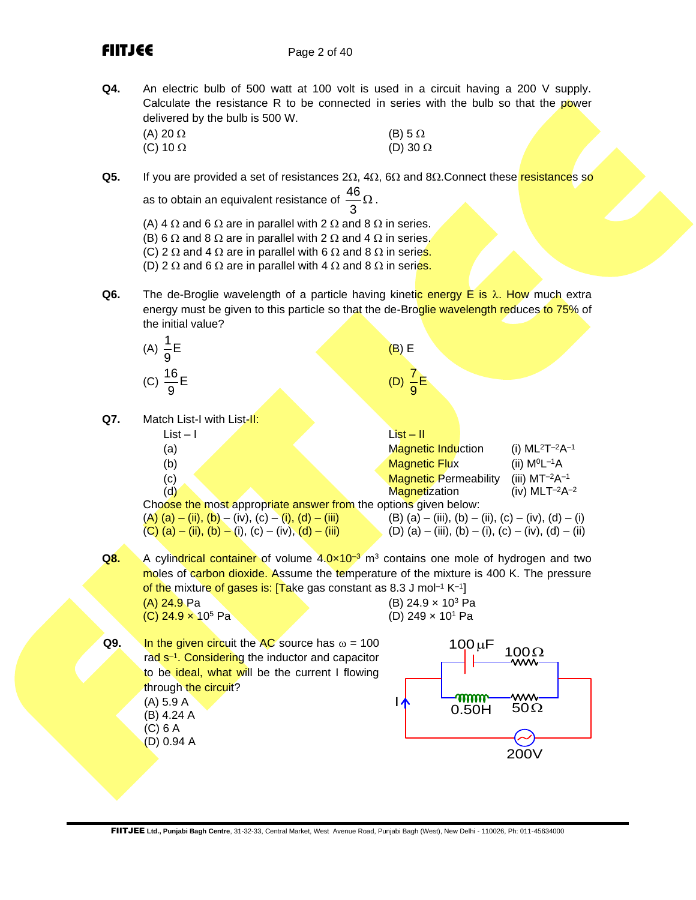## **FIITJEE** Page 2 of 40

**Q4.** An electric bulb of 500 watt at 100 volt is used in a circuit having a 200 V supply. Calculate the resistance R to be connected in series with the bulb so that the power delivered by the bulb is 500 W.

| (A) 20 $\Omega$ | (B) 5 $\Omega$  |
|-----------------|-----------------|
| (C) 10 $\Omega$ | (D) 30 $\Omega$ |

**Q5.** If you are provided a set of resistances  $2\Omega$ ,  $4\Omega$ ,  $6\Omega$  and  $8\Omega$ . Connect these resistances so as to obtain an equivalent resistance of 46  $\Omega$  .

3 (A) 4  $\Omega$  and 6  $\Omega$  are in parallel with 2  $\Omega$  and 8  $\Omega$  in series. (B) 6  $\Omega$  and 8  $\Omega$  are in parallel with 2  $\Omega$  and 4  $\Omega$  in series. (C) 2  $\Omega$  and 4  $\Omega$  are in parallel with 6  $\Omega$  and 8  $\Omega$  in series. (D) 2  $\Omega$  and 6  $\Omega$  are in parallel with 4  $\Omega$  and 8  $\Omega$  in series.

**Q6.** The de-Broglie wavelength of a particle having kinetic energy E is  $\lambda$ . How much extra energy must be given to this particle so that the de-Broglie wavelength reduces to 75% of the initial value?

| (A) | $\frac{1}{9}E$        |
|-----|-----------------------|
| (C) | $\frac{16}{1}$ E<br>9 |

**Q7.** Match List-I with List-II:

| $List - 1$ | $List - II$                                                      |                        |
|------------|------------------------------------------------------------------|------------------------|
| (a)        | <b>Magnetic Induction</b>                                        | (i) $ML^2T^{-2}A^{-1}$ |
| (b)        | <b>Magnetic Flux</b>                                             | (ii) $M^0L^{-1}A$      |
| (c)        | <b>Magnetic Permeability</b>                                     | (iii) $MT^{-2}A^{-1}$  |
| (d)        | <b>Magnetization</b>                                             | (iv) $MLT^{-2}A^{-2}$  |
|            | Choose the most appropriate answer from the options given below: |                        |

 $(B) E$ 

 $(D) \frac{7}{6}$ E 9

 $(A) (a) - (ii), (b) - (iv), (c) - (i), (d) - (iii)$  (B) (a) – (iii), (b) – (ii), (c) – (iv), (d) – (i)

(C) (a) – (ii), (b) – (i), (c) – (iv), (d) – (iii) (D) (a) – (iii), (b) – (i), (c) – (iv), (d) – (ii)

**Q8.** A cylindrical container of volume 4.0×10<sup>-3</sup> m<sup>3</sup> contains one mole of hydrogen and two moles of carbon dioxide. Assume the temperature of the mixture is 400 K. The pressure of the mixture of gases is: [Take gas constant as 8.3 J mol<sup>-1</sup> K<sup>-1</sup>]

 $(C)$  24.9 x 10<sup>5</sup> Pa (D) 249 x 10<sup>1</sup> Pa

(A) 24.9 Pa (B) 24.9 × 10<sup>3</sup> Pa

- **Q9.** In the given circuit the AC source has  $\omega = 100$ rad s<sup>-1</sup>. Considering the inductor and capacitor to be ideal, what will be the current I flowing through the circuit?
	- (A) 5.9 A (B) 4.24 A (C) 6 A
	- (D) 0.94 A

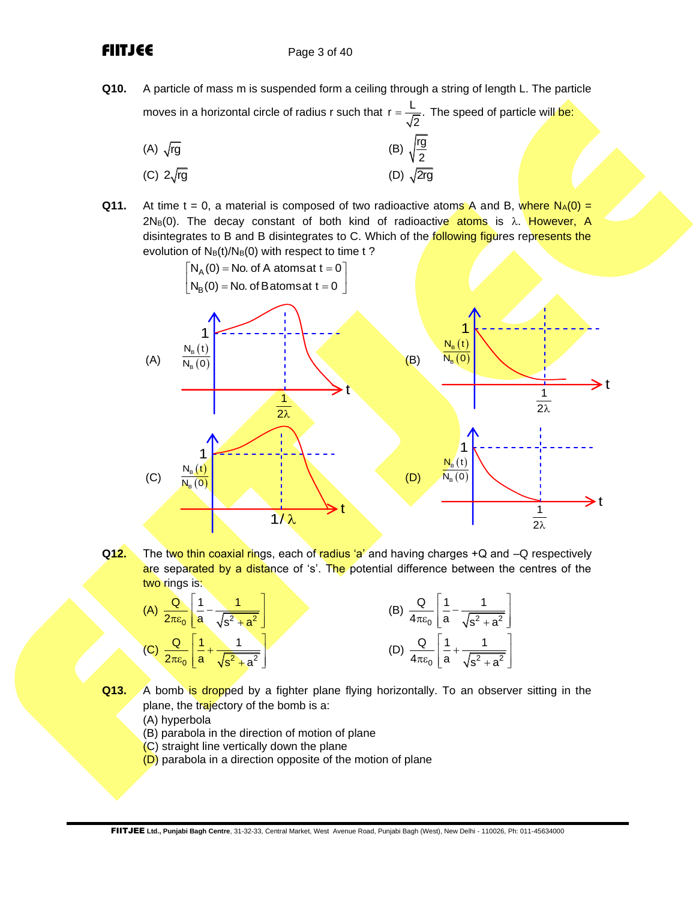**Q10.** A particle of mass m is suspended form a ceiling through a string of length L. The particle moves in a horizontal circle of radius r such that  $r = \frac{L}{\sqrt{2}}$ .  $=\frac{1}{\sqrt{2}}$ . The speed of particle will be:

(A) 
$$
\sqrt{rg}
$$
  
\n(B)  $\sqrt{\frac{rg}{2}}$   
\n(C)  $2\sqrt{rg}$   
\n(D)  $\sqrt{2rg}$ 

**Q11.** At time t = 0, a material is composed of two radioactive atoms A and B, where  $N_A(0)$  =  $2N_B(0)$ . The decay constant of both kind of radioactive atoms is  $\lambda$ . However, A disintegrates to B and B disintegrates to C. Which of the following figures represents the evolution of  $N_B(t)/N_B(0)$  with respect to time t ?



**Q12.** The two thin coaxial rings, each of radius 'a' and having charges +Q and –Q respectively are separated by a distance of 's'. The potential difference between the centres of the two rings is:

| (A) $\frac{Q}{2\pi\varepsilon_0} \left[ \frac{1}{a} - \frac{1}{\sqrt{s^2 + a^2}} \right]$ | (B) $\frac{Q}{4\pi\varepsilon_0} \left[ \frac{1}{a} - \frac{1}{\sqrt{s^2 + a^2}} \right]$ |
|-------------------------------------------------------------------------------------------|-------------------------------------------------------------------------------------------|
| (C) $\frac{Q}{2\pi\varepsilon_0} \left[ \frac{1}{a} + \frac{1}{\sqrt{s^2 + a^2}} \right]$ | (D) $\frac{Q}{4\pi\varepsilon_0} \left[ \frac{1}{a} + \frac{1}{\sqrt{s^2 + a^2}} \right]$ |

- **Q13.** A bomb is dropped by a fighter plane flying horizontally. To an observer sitting in the plane, the trajectory of the bomb is a:
	- (A) hyperbola
	- (B) parabola in the direction of motion of plane
	- (C) straight line vertically down the plane
	- (D) parabola in a direction opposite of the motion of plane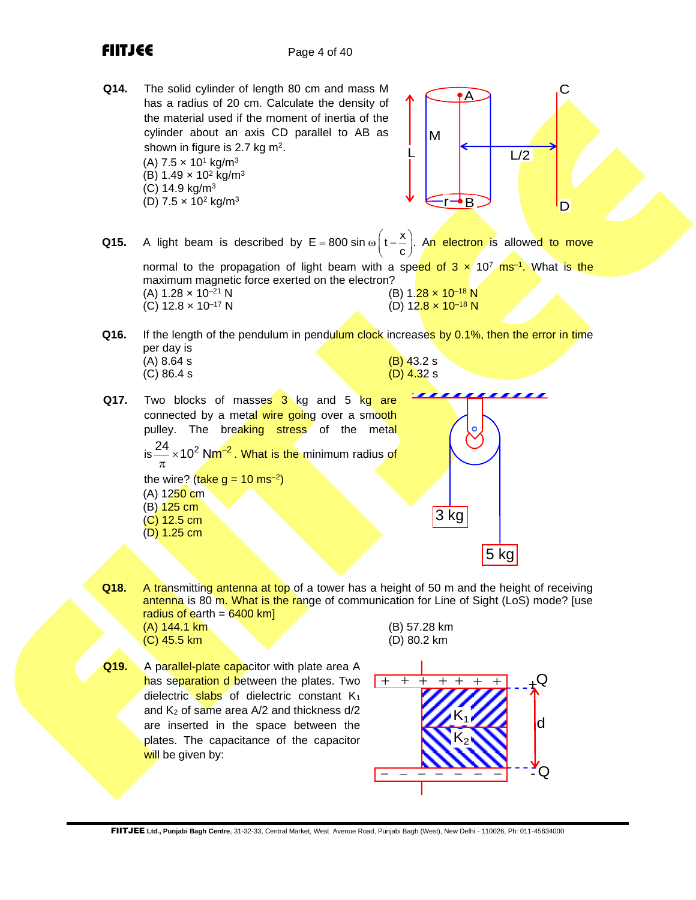



- **Q15.** A light beam is described by  $E = 800 \sin \omega \left( t \frac{x}{c} \right)$ .  $= 800 \sin \omega \left( t - \frac{x}{c} \right)$ . An electron is allowed to move normal to the propagation of light beam with a speed of 3 x 10<sup>7</sup> ms<sup>-1</sup>. What is the maximum magnetic force exerted on the electron? (A)  $1.28 \times 10^{-21}$  N<br>
(C)  $12.8 \times 10^{-17}$  N<br>
(D)  $12.8 \times 10^{-18}$  N (D)  $12.8 \times 10^{-18}$  N
- **Q16.** If the length of the pendulum in pendulum clock increases by 0.1%, then the error in time per day is (A) 8.64 s (B) 43.2 s (C) 86.4 s (D)  $\frac{4.32 \text{ s}}{2}$
- **Q17.** Two blocks of masses 3 kg and 5 kg are connected by a metal wire going over a smooth pulley. The breaking stress of the metal is  $\frac{24}{3}$  × 10<sup>2</sup> Nm<sup>-2</sup>  $\frac{1}{\pi}$   $\times$ 10<sup>2</sup> Nm<sup>-2</sup> . What is the minimum radius of the wire? (take g = 10 ms<sup>-2</sup>) (A) 1250 cm (B) 125 cm (C) 12.5 cm (D) 1.25 cm 3 kg 5 kg
- **Q18.** A transmitting antenna at top of a tower has a height of 50 m and the height of receiving antenna is 80 m. What is the range of communication for Line of Sight (LoS) mode? [use radius of earth  $= 6400$  km (A) 144.1 km (B) 57.28 km (C) 45.5 km (D) 80.2 km
- **Q19.** A parallel-plate capacitor with plate area A has separation d between the plates. Two dielectric slabs of dielectric constant  $K_1$ and  $K_2$  of same area A/2 and thickness  $d/2$ are inserted in the space between the plates. The capacitance of the capacitor will be given by:



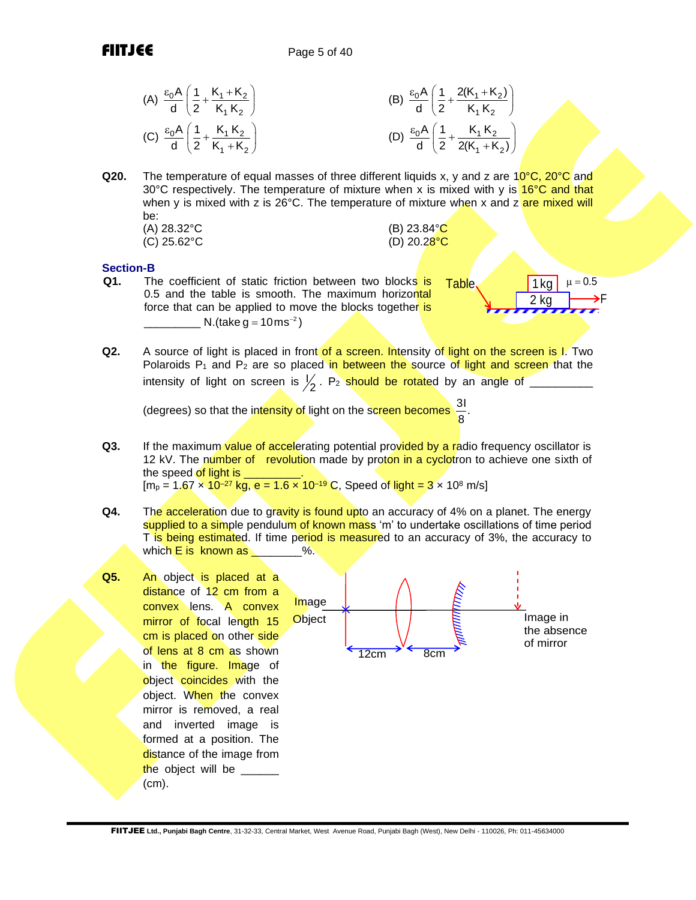- (A)  $\frac{60^{11}}{1}$   $\frac{1}{2} + \frac{101 + 10}{16}$  $1 \mathsf{R}_2$  $A \left( 1 \right) K_1 + K$ d  $\langle 2 \rangle$  K<sub>1</sub>K  $\varepsilon_0 A$  ( 1 | K<sub>1</sub> + K<sub>2</sub> )  $\frac{1}{2}+\frac{1}{K}$  $(2 \quad K_1K_2)$ (B)  $\frac{\epsilon_0 A}{I} \left( \frac{1}{2} + \frac{2(h_1 + h_2)}{I} \right)$  $\mathsf{1}\,$  N<sub>2</sub> A  $(1 \ 2(K_1 + K_2))$  $\overline{d}$   $\overline{2}$  K<sub>1</sub>K  $\epsilon_0$ A  $(1 \ 2(K_1 + K_2))$  $\frac{1}{2} + \frac{2(N_1 + N_2)}{K}$  $(2 \tK_1K_2)$ (C)  $\frac{\epsilon_0 A}{I}$   $\frac{1}{2} + \frac{R_1 R_2}{I}$  $_1$  +  $n_2$  $\mathsf{A} \left( \begin{array}{ccc} 1 & \mathsf{K}_1 \mathsf{K}_1 \end{array} \right)$  $\frac{\varepsilon_0 A}{d} \left( \frac{1}{2} + \frac{K_1 K_2}{K_1 + K_2} \right)$  $(2 K_1 + K_2)$ (D)  $\frac{\epsilon_0 A}{1} \left| \frac{1}{2} + \frac{R_1 R_2}{2(16-1)} \right|$  $\cdot_1$  +  $\mathsf{n}_2$  $A \begin{pmatrix} 1 & K_1 K \end{pmatrix}$  $\frac{\varepsilon_0 A}{d} \left( \frac{1}{2} + \frac{K_1 K_2}{2(K_1 + K_2)} \right)$  $(2 \t2(K_1 + K_2))$
- **Q20.** The temperature of equal masses of three different liquids x, y and z are 10°C, 20°C and 30 $\degree$ C respectively. The temperature of mixture when x is mixed with y is  $16\degree$ C and that when y is mixed with z is  $26^{\circ}$ C. The temperature of mixture when x and z are mixed will be:

(A)  $28.32^{\circ}$ C (B)  $23.84^{\circ}$ C (C) 25.62°C (D) 20.28°C

1kg  $2$  kg

 $\mu = 0.5$ 

### **Section-B**

- **Q1.** The coefficient of static friction between two blocks is 0.5 and the table is smooth. The maximum horizontal force that can be applied to move the blocks together is  $\frac{1}{2}$  N.(take g = 10ms<sup>-2</sup>) **Table**
- **Q2.** A source of light is placed in front of a screen. Intensity of light on the screen is I. Two Polaroids  $P_1$  and  $P_2$  are so placed in between the source of light and screen that the intensity of light on screen is  $\frac{1}{2}$ . P2 should be rotated by an angle of \_\_\_\_\_\_\_\_

(degrees) so that the intensity of light on the screen becomes  $\frac{3!}{8}$ .

- **Q3.** If the maximum value of accelerating potential provided by a radio frequency oscillator is 12 kV. The number of revolution made by proton in a cyclotron to achieve one sixth of the speed <mark>of light is \_\_\_\_\_\_\_\_\_</mark>. [m<sub>p</sub> = 1.67  $\times$  10<sup>–27</sup> kg, e = 1.6  $\times$  10<sup>–19</sup> C, Speed of light = 3  $\times$  10<sup>8</sup> m/s]
- **Q4.** The acceleration due to gravity is found upto an accuracy of 4% on a planet. The energy supplied to a simple pendulum of known mass 'm' to undertake oscillations of time period T is being estimated. If time period is measured to an accuracy of 3%, the accuracy to which  $E$  is known as  $\sim$  %.

**Q5.** An object is placed at a distance of 12 cm from a convex lens. A convex mirror of focal length 15 cm is placed on other side of lens at 8 cm as shown in the figure. Image of object coincides with the object. When the convex mirror is removed, a real and inverted image is formed at a position. The distance of the image from the object will be (cm).

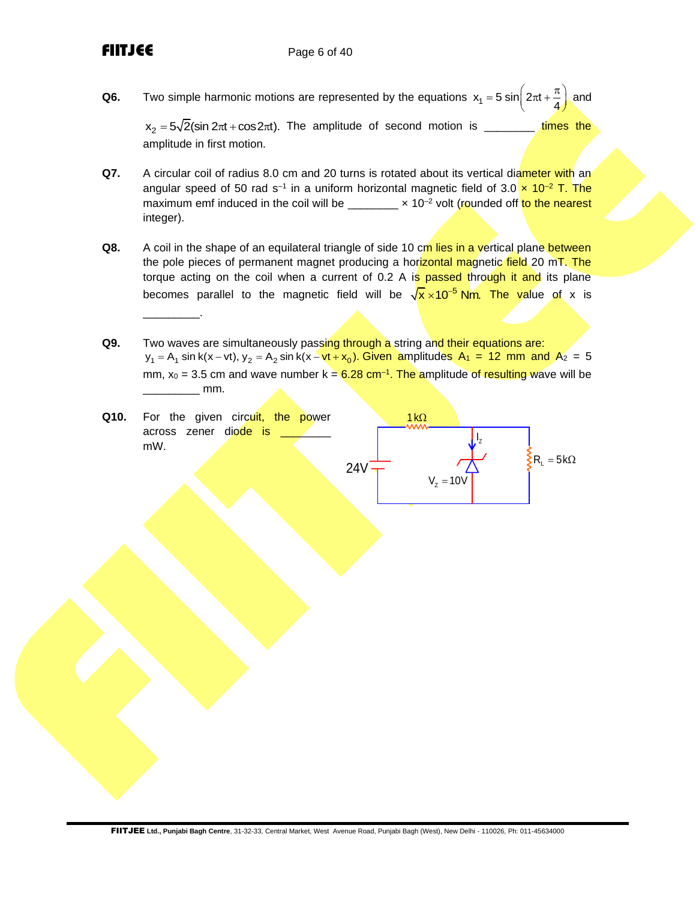$\overline{\phantom{a}}$ 

**Q6.** Two simple harmonic motions are represented by the equations  $x_1 = 5 \sin \left( 2\pi t + \frac{\pi}{4} \right)$  $= 5 \sin \left( 2 \pi t + \frac{\pi}{4} \right)$  and

 $x_2 = 5\sqrt{2}$ (sin 2 $\pi t$  +  $\cos 2\pi t$ ). The amplitude of second motion is \_\_\_\_\_\_\_\_\_ times the amplitude in first motion.

- **Q7.** A circular coil of radius 8.0 cm and 20 turns is rotated about its vertical diameter with an angular speed of 50 rad s<sup>-1</sup> in a uniform horizontal magnetic field of 3.0 x 10<sup>-2</sup> T. The maximum emf induced in the coil will be  $x$  10<sup>-2</sup> volt (rounded off to the nearest integer).
- **Q8.** A coil in the shape of an equilateral triangle of side 10 cm lies in a vertical plane between the pole pieces of permanent magnet producing a horizontal magnetic field 20 mT. The torque acting on the coil when a current of 0.2 A is passed through it and its plane becomes parallel to the magnetic field will be  $\sqrt{x} \times 10^{-5}$  Nm. The value of x is
- **Q9.** Two waves are simultaneously passing through a string and their equations are: Two waves are simultaneously passing through a string and their equations are:<br><sub>Y<sub>1</sub> = A<sub>1</sub> sin k(x – vt), y<sub>2</sub> = A<sub>2</sub> sin k(x – vt + x<sub>0</sub>). Given amplitudes A<sub>1</sub> = 12 mm and A<sub>2</sub> = 5</sub> mm,  $x_0 = 3.5$  cm and wave number  $k = 6.28$  cm $^{-1}$ . The amplitude of resulting wave will be  $mm.$

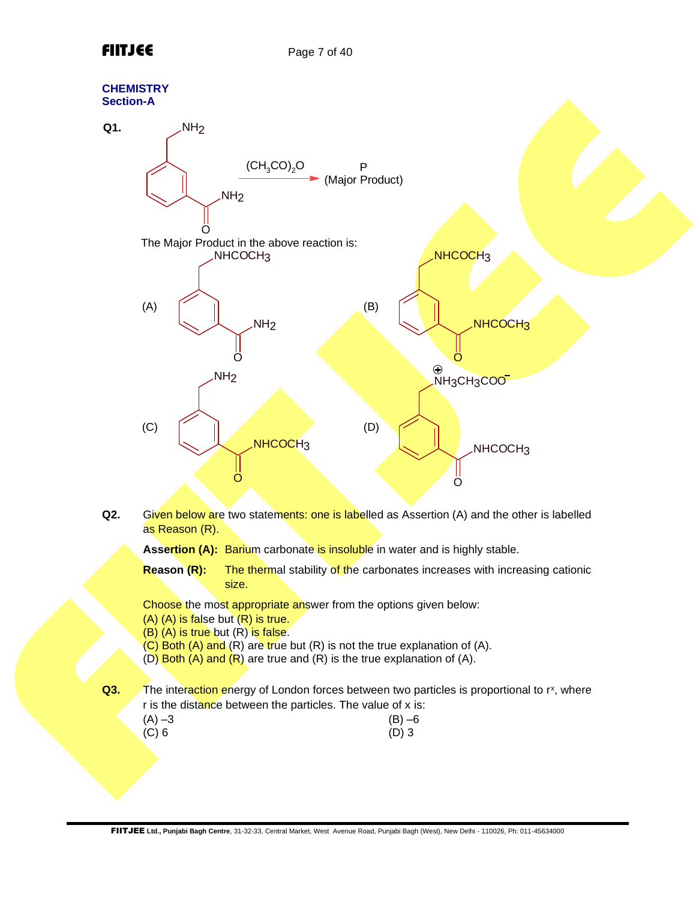### **CHEMISTRY Section-A**



**Q2.** Given below are two statements: one is labelled as Assertion (A) and the other is labelled as Reason (R).

Assertion (A): Barium carbonate is insoluble in water and is highly stable.

**Reason (R):** The thermal stability of the carbonates increases with increasing cationic size.

Choose the most appropriate answer from the options given below:

- (A) (A) is false but (R) is true.
- (B) (A) is true but (R) is false.
- (C) Both (A) and (R) are true but (R) is not the true explanation of (A).
- (D) Both  $(A)$  and  $(R)$  are true and  $(R)$  is the true explanation of  $(A)$ .

**Q3.** The interaction energy of London forces between two particles is proportional to r<sup>x</sup>, where r is the distance between the particles. The value of x is:

| $(A) -3$ | $(B) -6$ |
|----------|----------|
| $(C)$ 6  | $(D)$ 3  |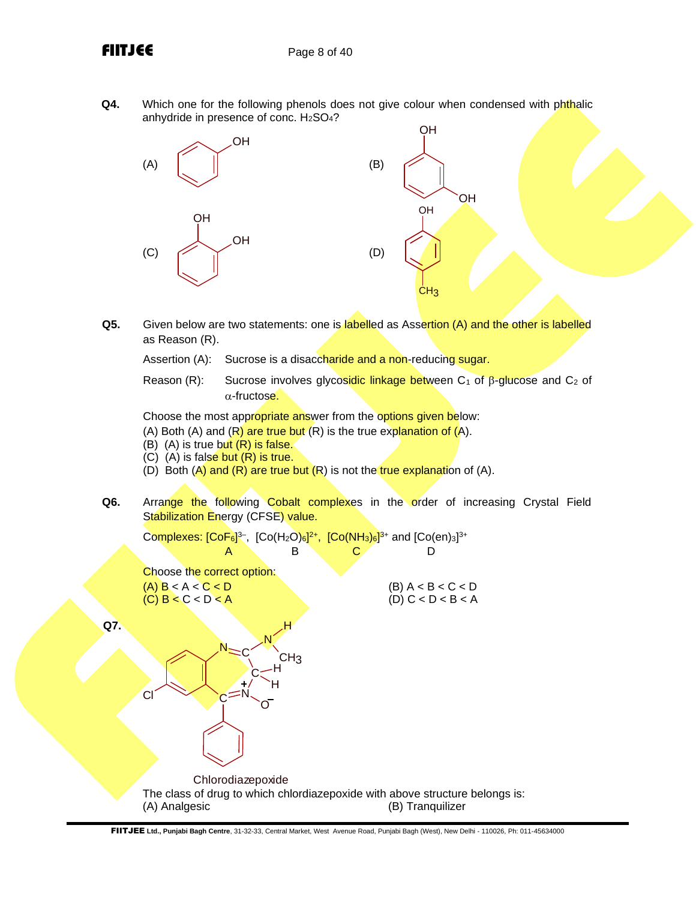**Q4.** Which one for the following phenols does not give colour when condensed with phthalic anhydride in presence of conc. H2SO4?



**Q5.** Given below are two statements: one is labelled as Assertion (A) and the other is labelled as Reason (R).

Assertion (A): Sucrose is a disaccharide and a non-reducing sugar.

Reason (R): Sucrose involves glycosidic linkage between  $C_1$  of  $\beta$ -glucose and  $C_2$  of  $\alpha$ -fructose.

Choose the most appropriate answer from the options given below:

- (A) Both (A) and  $(R)$  are true but  $(R)$  is the true explanation of  $(R)$ .
- (B) (A) is true but  $(R)$  is false.
- $(C)$  (A) is false but  $(R)$  is true.
- (D) Both  $(A)$  and  $(R)$  are true but  $(R)$  is not the true explanation of  $(A)$ .
- **Q6.** Arrange the following Cobalt complexes in the order of increasing Crystal Field Stabilization Energy (CFSE) value.

Complexes: [CoF<sub>6</sub>]<sup>3–</sup>, [Co(H<sub>2</sub>O)<sub>6</sub>]<sup>2+</sup>, [Co(NH<sub>3</sub>)<sub>6</sub>]<sup>3+</sup> and [Co(en)<sub>3</sub>]3+ A B C D Choose the correct option:  $(A) B < A < C < D$  (B)  $A < B < C < D$  $(C) B < C < D < A$  (D)  $C < D < B < A$ **Q7.**  $C<sup>2</sup>$ N N C C N O H CH<sub>3</sub> H Cl H Chlorodiazepoxide

The class of drug to which chlordiazepoxide with above structure belongs is: (A) Analgesic (B) Tranquilizer

FIITJEE **Ltd., Punjabi Bagh Centre**, 31-32-33, Central Market, West Avenue Road, Punjabi Bagh (West), New Delhi - 110026, Ph: 011-45634000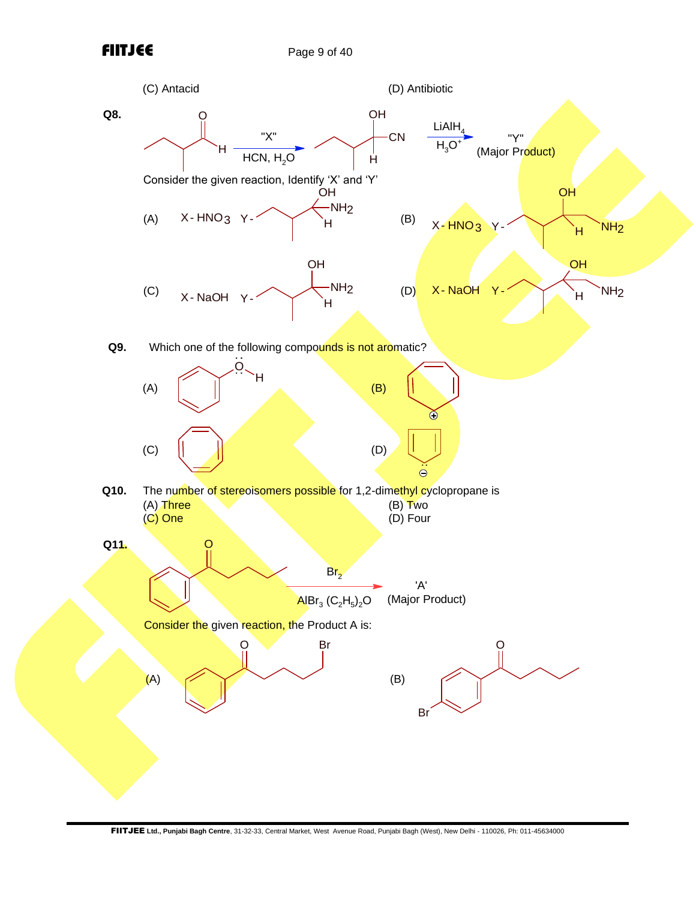FIITJEE Page 9 of 40

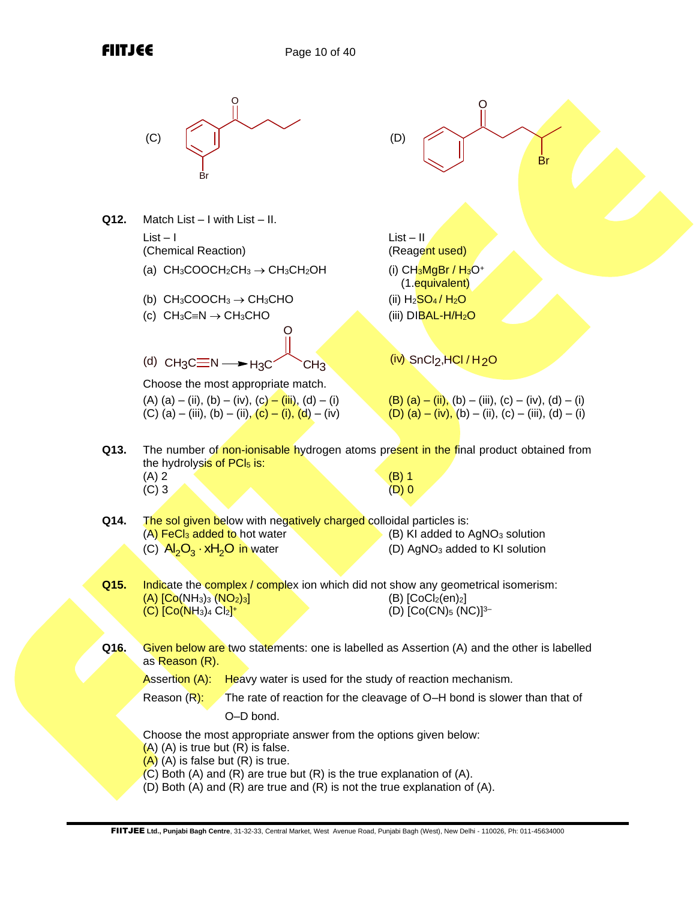

(D) Both (A) and (R) are true and (R) is not the true explanation of (A).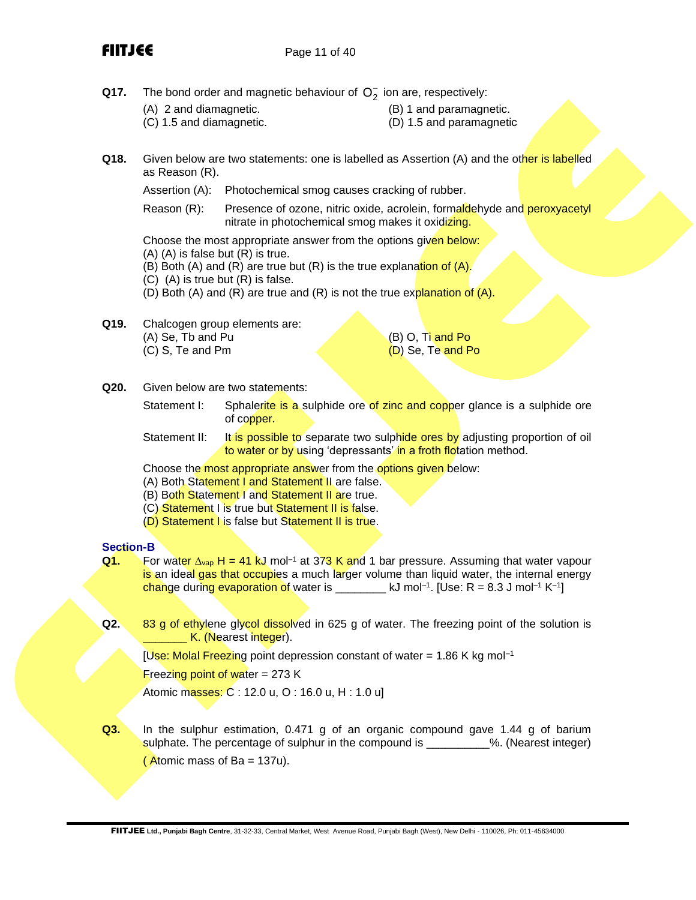- **Q17.** The bond order and magnetic behaviour of  $O_2^-$  ion are, respectively:
	- (A) 2 and diamagnetic. (B) 1 and paramagnetic.
		-
	- (C) 1.5 and diamagnetic. (D) 1.5 and paramagnetic
- 
- **Q18.** Given below are two statements: one is labelled as Assertion (A) and the other is labelled as Reason (R).

Assertion (A): Photochemical smog causes cracking of rubber.

Reason (R): Presence of ozone, nitric oxide, acrolein, formaldehyde and peroxyacetyl nitrate in photochemical smog makes it oxidizing.

Choose the most appropriate answer from the options given below:  $(A)$   $(A)$  is false but  $(R)$  is true. (B) Both (A) and (R) are true but  $(R)$  is the true explanation of  $(A)$ .

(C) (A) is true but (R) is false.

(D) Both (A) and (R) are true and (R) is not the true explanation of  $(A)$ .

**Q19.** Chalcogen group elements are: (A) Se, Tb and Pu  $(B)$  O, Ti and Po  $(B)$  O, Ti and Po  $(B)$  O, Ti and Po  $(B)$  Se, Te and Po  $(C)$  S, Te and Pm

- **Q20.** Given below are two statements:
	- Statement I: Sphalerite is a sulphide ore of zinc and copper glance is a sulphide ore of copper.

Statement II: It is possible to separate two sulphide ores by adjusting proportion of oil to water or by using 'depressants' in a froth flotation method.

Choose the most appropriate answer from the options given below:

- (A) Both Statement I and Statement II are false.
- (B) Both Statement I and Statement II are true.
- (C) Statement I is true but Statement II is false.
- (D) Statement I is false but Statement II is true.

### **Section-B**

- **Q1.** For water  $\Delta_{\text{van}}$  H = 41 kJ mol<sup>-1</sup> at 373 K and 1 bar pressure. Assuming that water vapour is an ideal gas that occupies a much larger volume than liquid water, the internal energy change during evaporation of water is \_\_\_\_\_\_\_\_ kJ mol<sup>-1</sup>. [Use: R = 8.3 J mol<sup>-1</sup> K<sup>-1</sup>]
- **Q2.** 83 g of ethylene glycol dissolved in 625 g of water. The freezing point of the solution is K. (Nearest integer).

[Use: Molal Freezing point depression constant of water = 1.86 K kg mol<sup>-1</sup>

Freezing point of water  $= 273 K$ 

Atomic masses: C : 12.0 u, O : 16.0 u, H : 1.0 u]

**Q3.** In the sulphur estimation, 0.471 g of an organic compound gave 1.44 g of barium sulphate. The percentage of sulphur in the compound is \_\_\_\_\_\_\_\_\_%. (Nearest integer)  $(A$ tomic mass of Ba = 137u).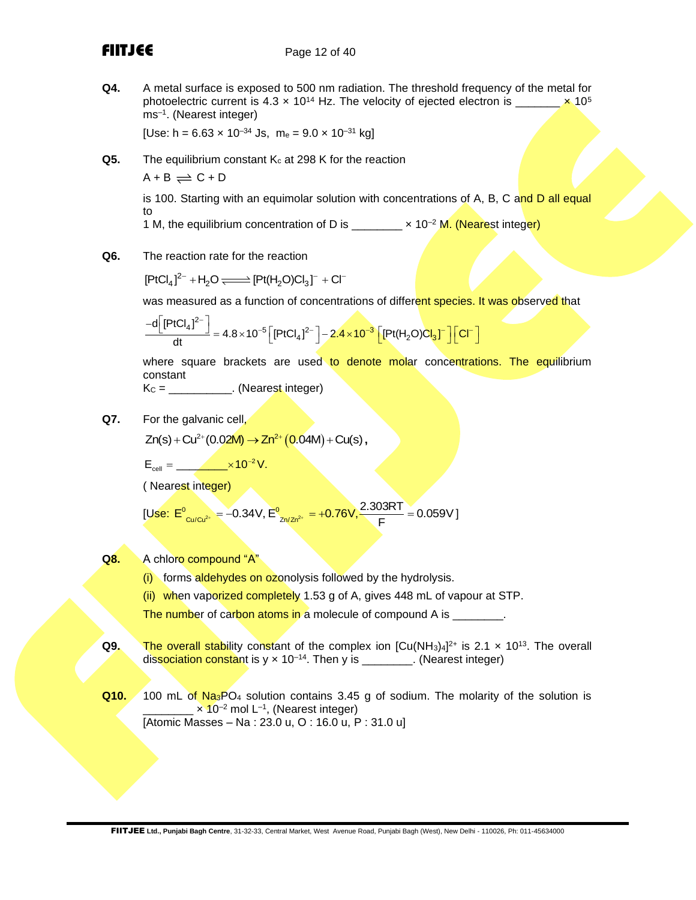**Q4.** A metal surface is exposed to 500 nm radiation. The threshold frequency of the metal for photoelectric current is 4.3  $\times$  10<sup>14</sup> Hz. The velocity of ejected electron is  $\times$  10<sup>5</sup> ms–1 . (Nearest integer)

[Use: h =  $6.63 \times 10^{-34}$  Js, m<sub>e</sub> =  $9.0 \times 10^{-31}$  kg]

**Q5.** The equilibrium constant K<sub>c</sub> at 298 K for the reaction

 $A + B \rightleftharpoons C + D$ 

is 100. Starting with an equimolar solution with concentrations of A, B, C and D all equal to

1 M, the equilibrium concentration of D is  $\frac{1}{2}$  × 10<sup>-2</sup> M. (Nearest integer)

**Q6.** The reaction rate for the reaction

2  $[PtCl<sub>4</sub>]<sup>2-</sup> + H<sub>2</sub>O \xrightarrow{\longrightarrow} [Pt(H<sub>2</sub>O)Cl<sub>3</sub>]<sup>-</sup> + Cl<sup>-</sup>$ 

was measured as a function of concentrations of different species. It was observed that 
$$
\frac{-d[[PtCl_4]^{2-}]}{dt} = 4.8 \times 10^{-5} [[PtCl_4]^{2-}] - 2.4 \times 10^{-3} [[Pt(H_2O)Cl_3]^-][Cl^-]
$$

where square brackets are used to denote molar concentrations. The equilibrium constant  $K_c =$  \_\_\_\_\_\_\_\_\_\_\_\_. (Nearest integer)

**Q7.** For the galvanic cell,

-or the galvanic cell,<br>Zn(s) + Cu<sup>2+</sup>(0.0<mark>2M) → Zn<sup>2+</sup> (0</mark>.04M) + Cu(s) ,

 $E_{\text{cell}} = \sqrt{2 \times 10^{-2} \text{ V}}$ .

( Nearest integer)

( Nearest integer)<br>[Use: E°<sub>cu/Cu<sup>2</sup>\*</sub> = –0.34V, E°<sub>zn/zn<sup>2\*</sup> = +0.76V, <sup>2.303RT</sup> = 0.059V ]</sub>

**Q8.** A chloro compound "A"

(i) forms aldehydes on ozonolysis followed by the hydrolysis.

(ii) when vaporized completely 1.53 g of A, gives 448 mL of vapour at STP.

The number of carbon atoms in a molecule of compound A is

**Q9.** The overall stability constant of the complex ion  $[Cu(NH<sub>3</sub>)<sub>4</sub>]<sup>2+</sup>$  is 2.1 x 10<sup>13</sup>. The overall dissociation constant is  $y \times 10^{-14}$ . Then  $y$  is \_\_\_\_\_\_\_\_. (Nearest integer)

**Q10.** 100 mL of Na<sub>3</sub>PO<sub>4</sub> solution contains 3.45 g of sodium. The molarity of the solution is **\_\_\_\_\_\_\_\_\_ × 1**0<sup>-2</sup> mol L<sup>-1</sup>, (Nearest integer) [Atomic Masses – Na : 23.0 u, O : 16.0 u, P : 31.0 u]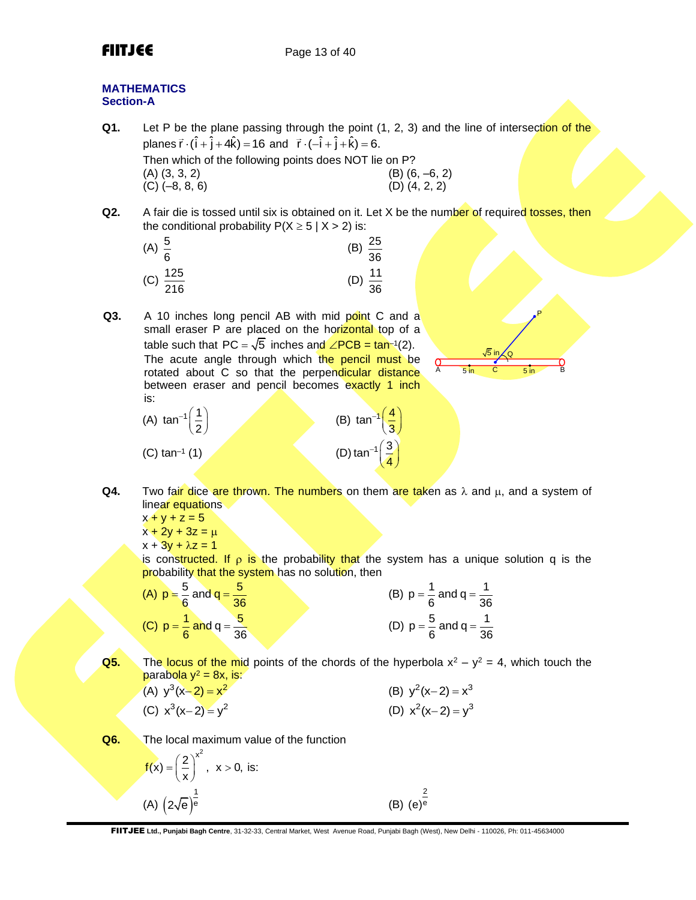### **MATHEMATICS Section-A**

**Q1.** Let P be the plane passing through the point (1, 2, 3) and the line of intersection of the planes  $\vec{r} \cdot (\hat{i} + \hat{j} + 4\hat{k}) = 16$  and  $\vec{r} \cdot (-\hat{i} + \hat{j} + \hat{k}) = 6$ . Then which of the following points does NOT lie on P?  $(A)$   $(3, 3, 2)$   $(B)$   $(6, -6, 2)$  $(C)$  (–8, 8, 6) (D) (4, 2, 2)

**Q2.** A fair die is tossed until six is obtained on it. Let X be the number of required tosses, then the conditional probability  $P(X \ge 5 | X > 2)$  is:

| (A) $\frac{5}{6}$ |                       | (B) $\frac{25}{36}$ |
|-------------------|-----------------------|---------------------|
|                   | (C) $\frac{125}{216}$ | (D) $\frac{11}{36}$ |

**Q3.** A 10 inches long pencil AB with mid point C and a small eraser P are placed on the horizontal top of a table such that PC =  $\sqrt{5}$  inches and  $\angle$ PCB = tan<sup>-1</sup>(2). The acute angle through which the pencil must be rotated about C so that the perpendicular distance between eraser and pencil becomes exactly 1 inch is: r distance A 5 in C 5 in B<br>tly 1 inch<br>--1( $\frac{4}{3}$ )<br>--1( $\frac{3}{4}$ )

(A) 
$$
\tan^{-1}\left(\frac{1}{2}\right)
$$
   
\n(B)  $\tan^{-1}\left(\frac{4}{3}\right)$   
\n(C)  $\tan^{-1}(1)$    
\n(D)  $\tan^{-1}\left(\frac{3}{4}\right)$ 



 $x + y + z = 5$ 

 $x + 2y + 3z = \mu$  $x + 3y + \lambda z = 1$ 

is constructed. If  $\rho$  is the probability that the system has a unique solution q is the probability that the system has no solution, then

Q

 $5$  in in

P

| (A) $p = \frac{5}{6}$ and $q = \frac{5}{36}$ | (B) $p = \frac{1}{6}$ and $q = \frac{1}{36}$ |
|----------------------------------------------|----------------------------------------------|
| (C) $p = \frac{1}{6}$ and $q = \frac{5}{36}$ | (D) $p = \frac{5}{6}$ and $q = \frac{1}{36}$ |

**Q5.** The locus of the mid points of the chords of the hyperbola  $x^2 - y^2 = 4$ , which touch the parabola  $y^2 = 8x$ , is:

| (A) $y^3(x-2) = x^2$ | (B) $y^2(x-2) = x^3$ |
|----------------------|----------------------|
| (C) $x^3(x-2) = y^2$ | (D) $x^2(x-2) = y^3$ |

**Q6.** The local maximum value of the function

$$
\mathbf{f}(\mathbf{x}) = \left(\frac{2}{\mathbf{x}}\right)^{x^2}, \ \mathbf{x} > 0, \text{ is:}
$$
\n(A) 
$$
\left(2\sqrt{e}\right)^{\frac{1}{e}}
$$

\n(B) 
$$
(e)^{\frac{2}{e}}
$$

FIITJEE **Ltd., Punjabi Bagh Centre**, 31-32-33, Central Market, West Avenue Road, Punjabi Bagh (West), New Delhi - 110026, Ph: 011-45634000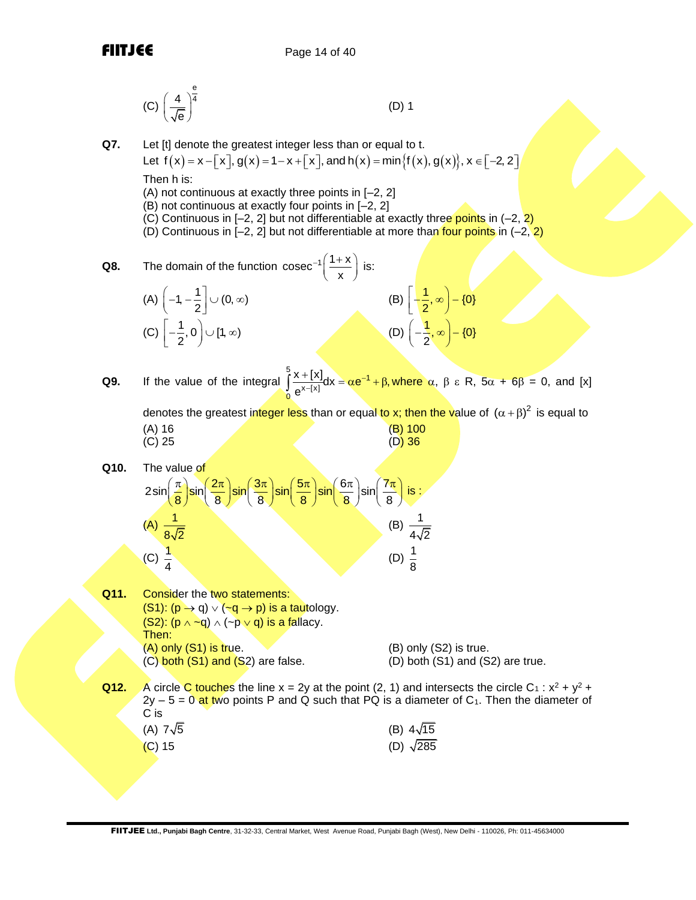(C) 
$$
\left(\frac{4}{\sqrt{e}}\right)^{\frac{e}{4}}
$$
 (D) 1

**Q7.** Let [t] denote the greatest integer less than or equal to t. Let (f) denote the greatest integer less than or equal to t.<br>  $f(x) = x - [x], g(x) = 1 - x + [x],$  and  $h(x) = min{f(x), g(x)}, x \in [-2, 2]$ Then h is: (A) not continuous at exactly three points in [–2, 2] (B) not continuous at exactly four points in [–2, 2] (C) Continuous in  $[-2, 2]$  but not differentiable at exactly three points in  $(-2, 2)$ (D) Continuous in  $[-2, 2]$  but not differentiable at more than four points in  $(-2, 2)$ **Q8.** The domain of the function  $\csc^{-1} \left( \frac{1+x}{x} \right)$  $_{-1}$  $(1+x)$  $\left(\frac{1+x}{x}\right)$  is: (A)  $\left(-1, -\frac{1}{2}\right] \cup (0, \infty)$ (B)  $\left[-\frac{1}{2}, \infty\right] - \{0\}$  $\left[-\frac{1}{2},\infty\right] (C)\left[-\frac{1}{2},0\right] \cup [1,\infty)$  $\begin{pmatrix} 1 & 1 \end{pmatrix}$  $\left[-\frac{1}{2},0\right]$ ∪ [1, ∞) (D)  $\left(-\frac{1}{2}, \infty\right) - \{0\}$  $\left(-\frac{1}{2},\infty\right)-$ **Q9.** If the value of the integral  $\int_{0}^{5} \frac{x + [x]}{e^{x-[x]}} dx = \alpha e^{-1}$  $\frac{x + [x]}{x - [x]}dx = \alpha e^{-1} + \beta,$ e − −  $\int_{0}^{3} \frac{x + [x]}{x^{x-[x]}} dx = \alpha e^{-1} + \beta$ , where  $\alpha$ ,  $\beta \in R$ ,  $5\alpha + 6\beta = 0$ , and [x] denotes the greatest integer less than or equal to x; then the value of  $(\alpha + \beta)^2$  is equal to (A) 16 (B) 100<br>
(C) 25 (D) 36  $(D)$  36 **Q10.** The value of The value of<br>2sin  $\left(\frac{\pi}{8}\right)$ sin $\left(\frac{2\pi}{8}\right)$ sin  $\left(\frac{3\pi}{8}\right)$ sin  $\left(\frac{5\pi}{8}\right)$ sin  $\left(\frac{6\pi}{8}\right)$ sin  $\left(\frac{7\pi}{8}\right)$ value of<br> $(\pi)_{\sin}(\frac{2\pi}{\sin} )_{\sin}(\frac{3\pi}{\sin} )_{\sin}(\frac{5\pi}{\sin} )_{\sin}(\frac{6\pi}{\sin} )_{\sin}(\frac{7\pi}{\sin} )_{\sin}$ value of  $\left(\frac{\pi}{8}\right)\sin\left(\frac{2\pi}{8}\right)\sin\left(\frac{3\pi}{8}\right)\sin\left(\frac{5\pi}{8}\right)\sin\left(\frac{6\pi}{8}\right)\sin\left(\frac{7\pi}{8}\right)$  is : is :  $(A) -1$ 8√2  $(B) -1$  $4\sqrt{2}$  $(C) \frac{1}{2}$ 4 (D)  $\frac{1}{2}$ 8 **Q11.** Consider the two statements:  $(S1): (p \rightarrow q) \vee (\neg q \rightarrow p)$  is a tautology. (S2): ( $p \wedge \neg q$ )  $\wedge$  ( $\neg p \vee q$ ) is a fallacy. Then:  $(A)$  only  $(S1)$  is true.<br>
(C) both  $(S1)$  and  $(S2)$  are false.  $(B)$  both  $(S1)$  and  $(S2)$  are true.  $(C)$  both  $(S1)$  and  $(S2)$  are false. **Q12.** A circle C touches the line  $x = 2y$  at the point (2, 1) and intersects the circle C<sub>1</sub> :  $x^2 + y^2 +$  $2y - 5 = 0$  at two points P and Q such that PQ is a diameter of C<sub>1</sub>. Then the diameter of C is (A)  $7\sqrt{5}$  $(B)$  4 $\sqrt{15}$  $(C)$  15  $(D) \sqrt{285}$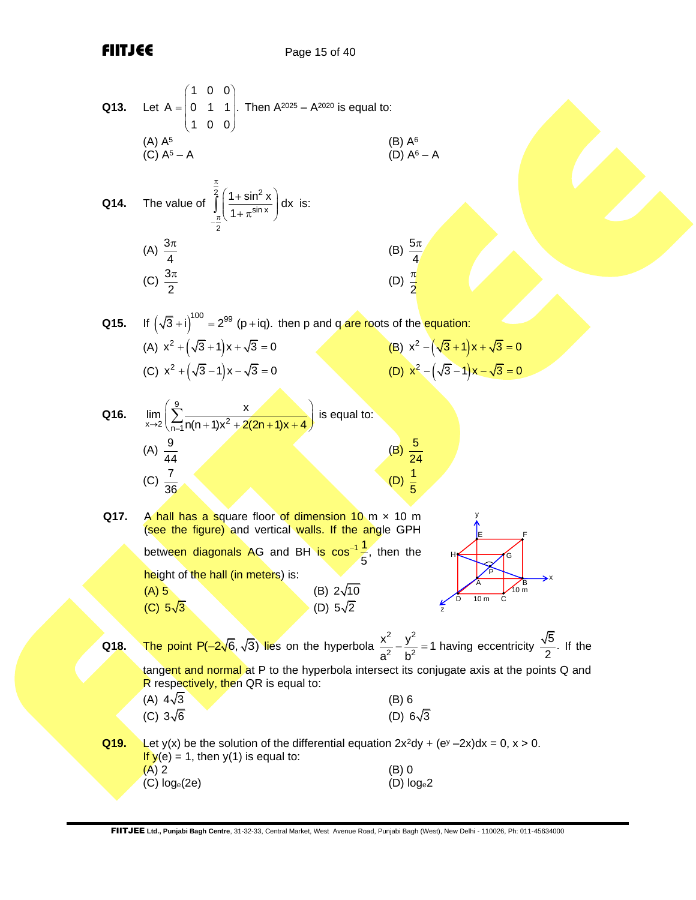| Q13. | Let $A = \begin{pmatrix} 1 & 0 & 0 \\ 0 & 1 & 1 \\ 1 & 0 & 0 \end{pmatrix}$ . Then $A^{2025} - A^{2020}$ is equal to:                                    |                                            |
|------|----------------------------------------------------------------------------------------------------------------------------------------------------------|--------------------------------------------|
|      | $(A)$ $A5$                                                                                                                                               |                                            |
|      | (C) $A^5 - A$                                                                                                                                            | $(B)$ A <sup>6</sup><br>(D) $A^6 - A$      |
|      |                                                                                                                                                          |                                            |
| Q14. | The value of $\int_{\pi}^{\frac{\pi}{2}} \left( \frac{1 + \sin^2 x}{1 + \pi^{\sin x}} \right) dx$ is:                                                    |                                            |
|      |                                                                                                                                                          |                                            |
|      | (A) $\frac{3\pi}{4}$                                                                                                                                     | (B) $\frac{5\pi}{4}$                       |
|      |                                                                                                                                                          |                                            |
|      | (C) $\frac{3\pi}{2}$                                                                                                                                     | (D) $\frac{\pi}{2}$                        |
|      |                                                                                                                                                          |                                            |
| Q15. | If $(\sqrt{3}+i)^{100} = 2^{99}$ (p + iq). then p and q are roots of the equation:                                                                       |                                            |
|      | (A) $x^2 + (\sqrt{3} + 1)x + \sqrt{3} = 0$                                                                                                               | (B) $x^2 - (\sqrt{3} + 1)x + \sqrt{3} = 0$ |
|      | (C) $x^2 + (\sqrt{3} - 1)x - \sqrt{3} = 0$                                                                                                               | (D) $x^2 - (\sqrt{3} - 1)x - \sqrt{3} = 0$ |
|      |                                                                                                                                                          |                                            |
| Q16. | $\lim_{x\to 2}\left(\sum_{n=1}^{9}\frac{x}{n(n+1)x^2+2(2n+1)x+4}\right)$ is equal to:                                                                    |                                            |
|      | (A) $\frac{9}{44}$                                                                                                                                       |                                            |
|      |                                                                                                                                                          | (B) $\frac{5}{24}$<br>(D) $\frac{1}{5}$    |
|      | (C) $\frac{7}{36}$                                                                                                                                       |                                            |
| Q17. | A hall has a square floor of dimension 10 m x 10 m                                                                                                       |                                            |
|      | (see the figure) and vertical walls. If the angle GPH                                                                                                    |                                            |
|      | between diagonals AG and BH is $cos^{-1} \frac{1}{5}$ , then the                                                                                         | G                                          |
|      | height of the hall (in meters) is:                                                                                                                       | B                                          |
|      | (B) $2\sqrt{10}$<br>(A) 5                                                                                                                                | $\frac{10 \text{ m}}{10 \text{ m}}$        |
|      | (C) $5\sqrt{3}$<br>(D) $5\sqrt{2}$                                                                                                                       |                                            |
| Q18. | The point P(-2 $\sqrt{6}$ , $\sqrt{3}$ ) lies on the hyperbola $\frac{x^2}{a^2} - \frac{y^2}{b^2} = 1$ having eccentricity $\frac{\sqrt{5}}{2}$ . If the |                                            |
|      | tangent and normal at P to the hyperbola intersect its conjugate axis at the points Q and                                                                |                                            |
|      | R respectively, then QR is equal to:                                                                                                                     |                                            |
|      | $(A)$ 4 $\sqrt{3}$<br>$(C)$ 3 $\sqrt{6}$                                                                                                                 | (B) 6<br>(D) $6\sqrt{3}$                   |
|      |                                                                                                                                                          |                                            |
| Q19. | Let y(x) be the solution of the differential equation $2x^2dy + (e^y - 2x)dx = 0$ , $x > 0$ .<br>If $y(e) = 1$ , then $y(1)$ is equal to:                |                                            |
|      | $(A)$ 2                                                                                                                                                  | $(B)$ 0                                    |
|      | (C) log $_e(2e)$                                                                                                                                         | $(D)$ log <sub>e</sub> $2$                 |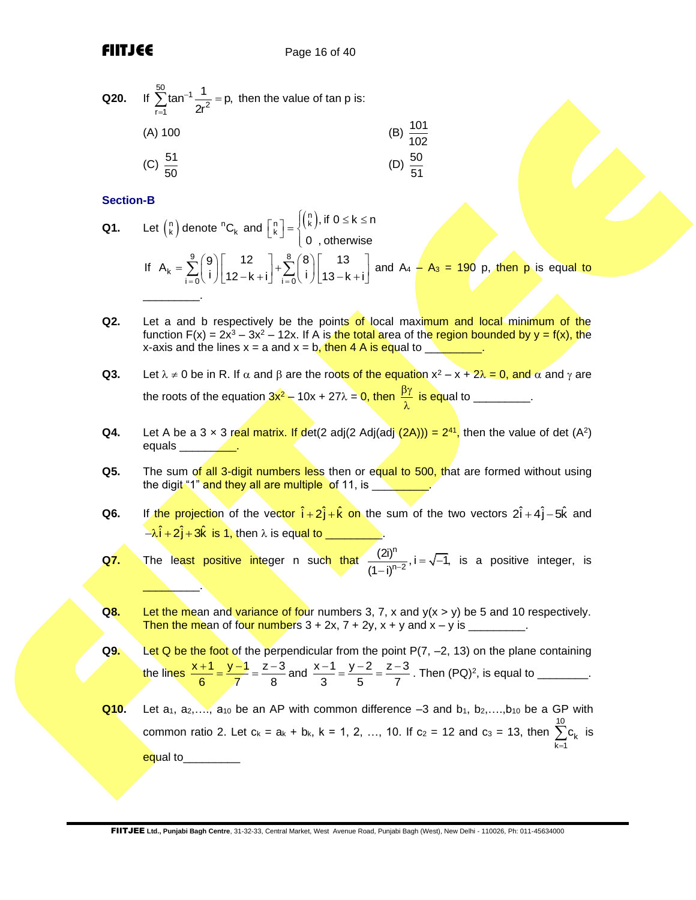| <b>Q20.</b> If $\sum_{n=1}^{50} \tan^{-1} \frac{1}{2r^2} = p$ , then the value of tan p is: |                    |
|---------------------------------------------------------------------------------------------|--------------------|
| $(A)$ 100                                                                                   | $\frac{101}{102}$  |
|                                                                                             | (D) $\frac{50}{5}$ |

### **Section-B**

- **Q1.** Let  $\binom{n}{k}$  denote  ${}^nC_k$  and  $\binom{n}{k} = \binom{\binom{n}{k}}{k}$ , if  $0 \le k \le n$ 0 , otherwise  $\begin{bmatrix} n \\ k \end{bmatrix} = \begin{cases} \binom{n}{k}, & \text{if } 0 \leq k \leq n \\ 0, & \text{otherwise} \end{cases}$  $\frac{9}{2}(9)$  12  $\frac{3}{2}$ If  $A_k = \sum_{i=0}^{9} {9 \choose i} \begin{bmatrix} 12 \\ 12 - k + i \end{bmatrix} + \sum_{i=0}^{8} {8 \choose i} \begin{bmatrix} 13 \\ 13 - k + i \end{bmatrix}$  and and  $A_4 - A_3 = 190$  p, then p is equal to \_\_\_\_\_\_\_\_\_.
- **Q2.** Let a and b respectively be the points of local maximum and local minimum of the function  $F(x) = 2x^3 - 3x^2 - 12x$ . If A is the total area of the region bounded by  $y = f(x)$ , the x-axis and the lines  $x = a$  and  $x = b$ , then 4 A is equal to
- **Q3.** Let  $\lambda \neq 0$  be in R. If  $\alpha$  and  $\beta$  are the roots of the equation  $x^2 x + 2\lambda = 0$ , and  $\alpha$  and  $\gamma$  are the roots of the equation  $3x^2 - 10x + 27\lambda = 0$ , then  $\frac{\beta \gamma}{\lambda}$  $\frac{\partial T}{\partial \lambda}$  is equal to \_\_\_\_\_\_\_\_\_.
- **Q4.** Let A be a 3 x 3 real matrix. If det(2 adj(2 Adj(adj  $(2A))$ ) =  $2^{41}$ , then the value of det (A<sup>2</sup>) equals \_\_\_\_\_\_\_\_\_.
- **Q5.** The sum of all 3-digit numbers less then or equal to 500, that are formed without using the digit "1" and they all are multiple of 11, is
- **Q6.** If the projection of the vector  $\hat{i} + 2\hat{j} + \hat{k}$  on the sum of the two vectors  $2\hat{i} + 4\hat{j} 5\hat{k}$  and  $-\lambda \hat{i} + 2\hat{j} + 3\hat{k}$  is 1, then  $\lambda$  is equal to \_\_\_\_\_\_\_\_\_\_
- **Q7.** The least positive integer n such that n  $\frac{(2i)^n}{(2i)^{n-2}}$ , i =  $\sqrt{-1}$ ,  $\frac{(2i)}{(1-i)^{n-2}}$ , i =  $\sqrt{-1}$ − is a positive integer, is  $\_\_$
- **Q8.** Let the mean and variance of four numbers 3, 7, x and y(x > y) be 5 and 10 respectively. Then the mean of four numbers  $3 + 2x$ ,  $7 + 2y$ ,  $x + y$  and  $x - y$  is \_\_\_\_\_\_\_\_\_.

**Q9.** Let Q be the foot of the perpendicular from the point P(7, –2, 13) on the plane containing the lines  $\frac{x+1}{2} = \frac{y-1}{7} = \frac{z-3}{3}$  $6 - 7 - 8$  $\frac{+1}{2} = \frac{y-1}{7} = \frac{z-3}{2}$  and  $\frac{x-1}{2} = \frac{y-2}{7} = \frac{z-3}{7}$  $\frac{1}{3}$  -  $\frac{1}{5}$  -  $\frac{1}{7}$  $\frac{-1}{2} = \frac{y-2}{5} = \frac{z-3}{7}$ . Then (PQ)<sup>2</sup>, is equal to \_\_\_\_\_\_\_\_.

**Q10.** Let  $a_1$ ,  $a_2$ ,  $a_3$ ,  $a_9$  be an AP with common difference  $-3$  and  $b_1$ ,  $b_2$ ,  $b_3$ ,  $b_{10}$  be a GP with common ratio 2. Let  $c_k = a_k + b_k$ ,  $k = 1, 2, ..., 10$ . If  $c_2 = 12$  and  $c_3 = 13$ , then 10 k  $k = 1$ c  $\sum_{k=1}^{\infty}$ c<sub>k</sub> is equal to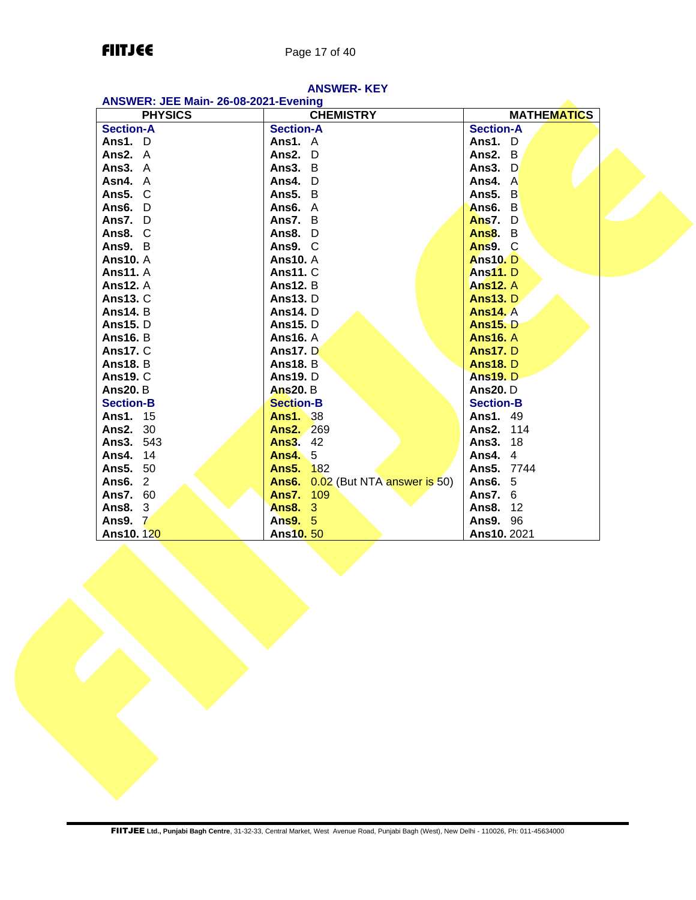| ANSWER: JEE Main- 26-08-2021-Evening |                                      |                    |  |  |  |  |  |
|--------------------------------------|--------------------------------------|--------------------|--|--|--|--|--|
| <b>PHYSICS</b>                       | <b>CHEMISTRY</b>                     | <b>MATHEMATICS</b> |  |  |  |  |  |
| <b>Section-A</b>                     | <b>Section-A</b>                     | <b>Section-A</b>   |  |  |  |  |  |
| Ans1. D                              | Ans1. A                              | Ans1. D            |  |  |  |  |  |
| Ans2. A                              | Ans2. D                              | Ans $2. B$         |  |  |  |  |  |
| Ans3. A                              | Ans3. B                              | Ans3. D            |  |  |  |  |  |
| Asn4. A                              | D<br>Ans4.                           | Ans4. A            |  |  |  |  |  |
| Ans5. C                              | Ans $5. B$                           | Ans5. B            |  |  |  |  |  |
| Ans6. D                              | Ans6. A                              | Ans6. B            |  |  |  |  |  |
| Ans7. D                              | Ans7. B                              | Ans7. D            |  |  |  |  |  |
| Ans8. C                              | Ans8. D                              | Ans8. B            |  |  |  |  |  |
| Ans9. B                              | Ans9. C                              | Ans9. C            |  |  |  |  |  |
| <b>Ans10. A</b>                      | <b>Ans10. A</b>                      | <b>Ans10. D</b>    |  |  |  |  |  |
| <b>Ans11. A</b>                      | <b>Ans11. C</b>                      | <b>Ans11.</b> D    |  |  |  |  |  |
| <b>Ans12. A</b>                      | <b>Ans12. B</b>                      | <b>Ans12. A</b>    |  |  |  |  |  |
| <b>Ans13. C</b>                      | <b>Ans13.</b> D                      | <b>Ans13. D.</b>   |  |  |  |  |  |
| <b>Ans14.</b> B                      | <b>Ans14.</b> D                      | <b>Ans14. A</b>    |  |  |  |  |  |
| <b>Ans15. D</b>                      | <b>Ans15. D</b>                      | <b>Ans15. D</b>    |  |  |  |  |  |
| <b>Ans16. B</b>                      | <b>Ans16. A</b>                      | <b>Ans16. A</b>    |  |  |  |  |  |
| <b>Ans17. C</b>                      | <b>Ans17. D</b>                      | <b>Ans17. D</b>    |  |  |  |  |  |
| <b>Ans18. B</b>                      | <b>Ans18. B</b>                      | <b>Ans18. D</b>    |  |  |  |  |  |
| <b>Ans19. C</b>                      | <b>Ans19.</b> D                      | <b>Ans19. D</b>    |  |  |  |  |  |
| <b>Ans20.</b> B                      | <b>Ans20.</b> B                      | <b>Ans20.</b> D    |  |  |  |  |  |
| <b>Section-B</b>                     | <b>Section-B</b>                     | <b>Section-B</b>   |  |  |  |  |  |
| <b>Ans1. 15</b>                      | <b>Ans1.</b> 38                      | <b>Ans1. 49</b>    |  |  |  |  |  |
| <b>Ans2. 30</b>                      | <b>Ans2. 269</b>                     | Ans2. 114          |  |  |  |  |  |
| Ans3. 543                            | <b>Ans3. 42</b>                      | 18<br>Ans3.        |  |  |  |  |  |
| <b>Ans4. 14</b>                      | <b>Ans4.</b> 5                       | <b>Ans4. 4</b>     |  |  |  |  |  |
| <b>Ans5. 50</b>                      | <b>Ans5. 182</b>                     | Ans5. 7744         |  |  |  |  |  |
| Ans6.<br>$\overline{2}$              | 0.02 (But NTA answer is 50)<br>Ans6. | <b>Ans6. 5</b>     |  |  |  |  |  |
| 60<br>Ans7.                          | 109<br>Ans7.                         | Ans7.<br>6         |  |  |  |  |  |
| Ans8.<br>3                           | <b>Ans8. 3</b>                       | Ans8.<br>12        |  |  |  |  |  |
| Ans9. 7                              | Ans9. 5                              | Ans9. 96           |  |  |  |  |  |
| Ans10.120                            | Ans10.50                             | Ans10, 2021        |  |  |  |  |  |

### **ANSWER- KEY**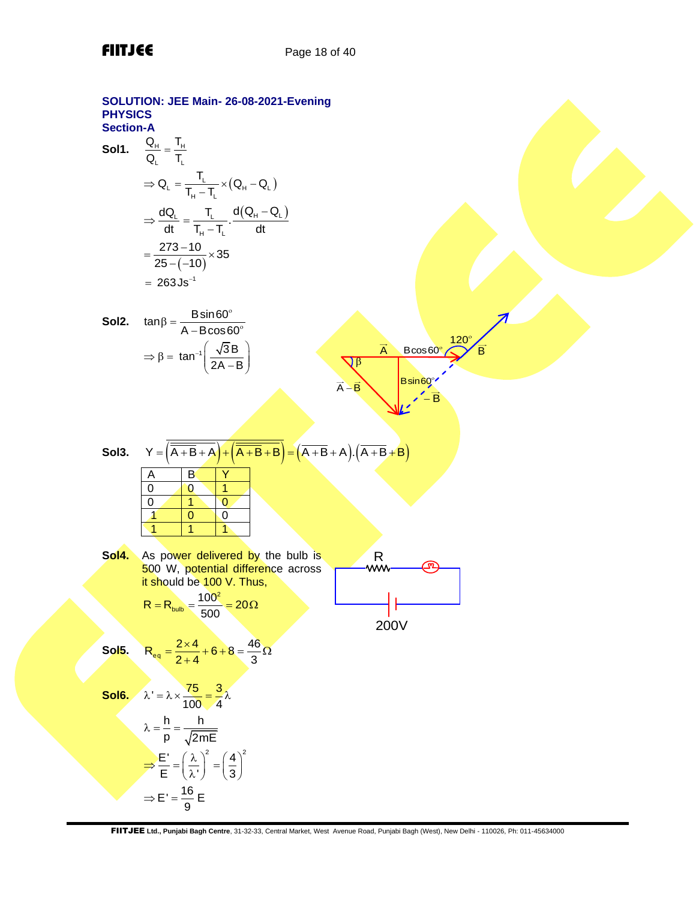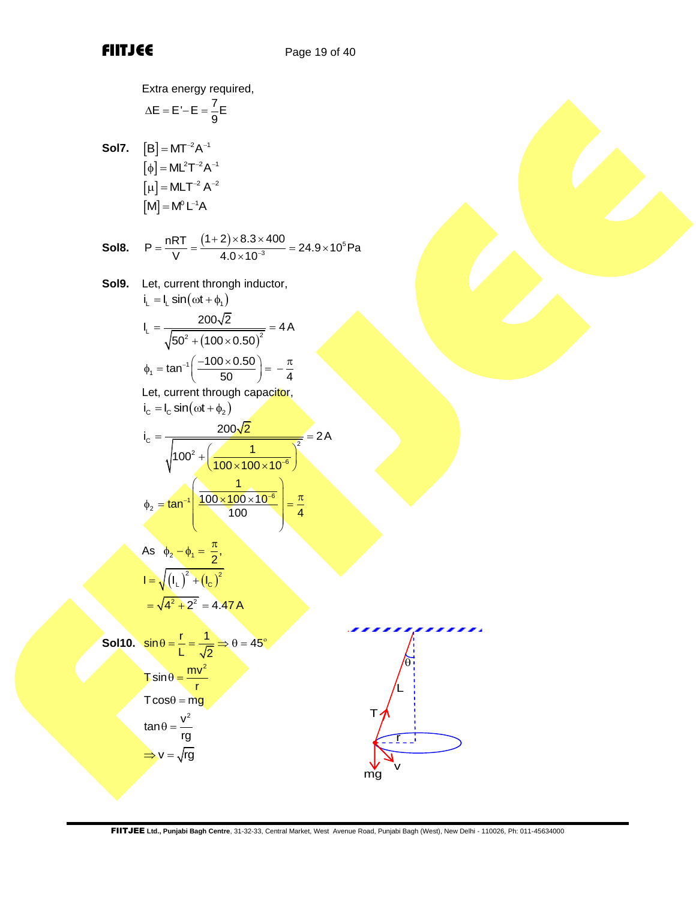Extra energy required,

$$
\Delta E = E' - E = \frac{7}{9}E
$$

**Sol7.**  $[B] = MT^{-2}A^{-1}$  $[\phi] = ML^2T^{-2}A^{-1}$  $[\mu] = \mathsf{MLT}^{-2} \mathsf{A}^{-2}$  $[M] = M^0 L^{-1} A$ 

Sol8. 
$$
P = {nRT \over V} = {(1+2) \times 8.3 \times 400 \over 4.0 \times 10^{-3}} = 24.9 \times 10^{5} Pa
$$

Sol9. Let, current through inductor,  
\ni. = l<sub>1</sub> sin(ωt + φ<sub>1</sub>)  
\nl<sub>1</sub> = 
$$
\frac{200\sqrt{2}}{\sqrt{50^2 + (100 \times 0.50)^2}}
$$
 = 4 A  
\nφ<sub>1</sub> = tan<sup>-1</sup>  $\left(\frac{-100 \times 0.50}{50}\right)$  =  $-\frac{\pi}{4}$   
\nLet, current through capacitor,  
\ni<sub>c</sub> = l<sub>c</sub> sin(ωt + φ<sub>2</sub>)  
\ni<sub>c</sub> =  $\frac{200\sqrt{2}}{\sqrt{100^2 + \left(\frac{1}{100 \times 100 \times 10^{-6}}\right)^2}}$  = 2A  
\nφ<sub>2</sub> = tan<sup>-1</sup>  $\left(\frac{100 \times 100 \times 10^{-6}}{100}\right)$  =  $\frac{\pi}{4}$   
\nAs φ<sub>2</sub> = φ<sub>1</sub> =  $\frac{\pi}{2}$ ,  
\nl =  $\sqrt{(l_1)^2 + (l_0)^2}$   
\n=  $\sqrt{4^2 + 2^2}$  = 4.47A  
\nSo110. sin θ =  $\frac{I}{L} = \frac{1}{\sqrt{2}}$  ⇒ θ = 45°  
\nT sin θ =  $\frac{mv^2}{rg}$   
\n⇒ v =  $\sqrt{rg}$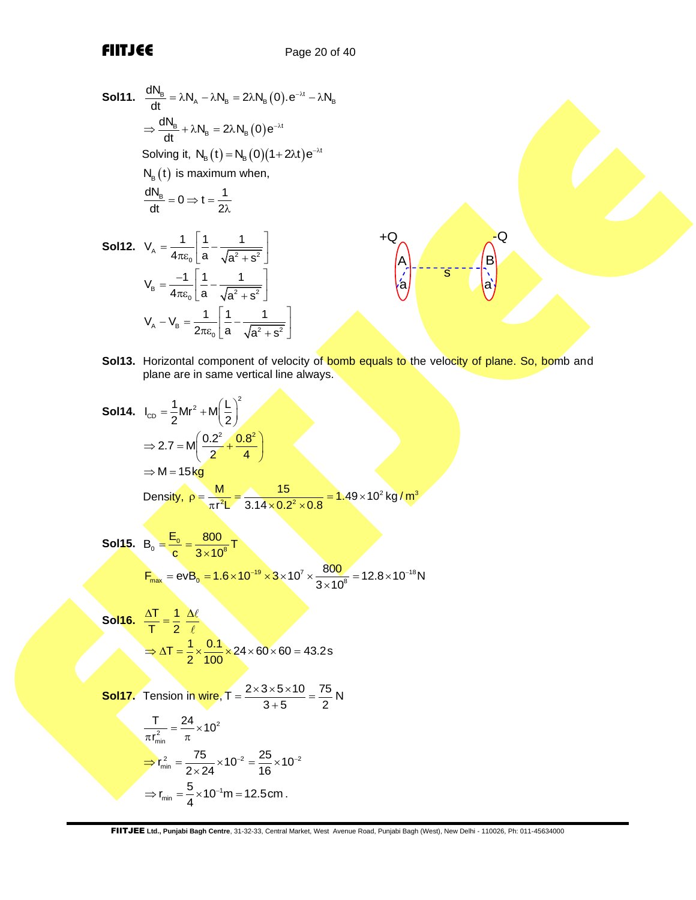**Sol11.** 
$$
\frac{dN_{B}}{dt} = \lambda N_{A} - \lambda N_{B} = 2\lambda N_{B} (0).e^{-\lambda t} - \lambda N_{B}
$$
\n
$$
\Rightarrow \frac{dN_{B}}{dt} + \lambda N_{B} = 2\lambda N_{B} (0)e^{-\lambda t}
$$
\nSolving it,  $N_{B} (t) = N_{B} (0)(1 + 2\lambda t)e^{-\lambda t}$   
\n $N_{B} (t)$  is maximum when,  
\n
$$
\frac{dN_{B}}{dt} = 0 \Rightarrow t = \frac{1}{2\lambda}
$$
\n**Sol12.**  $V_{A} = \frac{1}{4\pi\epsilon_{0}} \left[ \frac{1}{a} - \frac{1}{\sqrt{a^{2} + s^{2}}} \right]$   
\n $V_{B} = \frac{-1}{4\pi\epsilon_{0}} \left[ \frac{1}{a} - \frac{1}{\sqrt{a^{2} + s^{2}}} \right]$   
\n $V_{A} - V_{B} = \frac{1}{2\pi\epsilon_{0}} \left[ \frac{1}{a} - \frac{1}{\sqrt{a^{2} + s^{2}}} \right]$ 

Sol13. Horizontal component of velocity of bomb equals to the velocity of plane. So, bomb and plane are in same vertical line always.

a

s

**Sol14.** 
$$
I_{CD} = \frac{1}{2}Mr^{2} + M\left(\frac{L}{2}\right)^{2}
$$
  
\n
$$
\Rightarrow 2.7 = M\left(\frac{0.2^{2}}{2} + \frac{0.8^{2}}{4}\right)
$$
  
\n
$$
\Rightarrow M = 15kg
$$
  
\nDensity,  $\rho = \frac{M}{\pi r^{2}L} = \frac{15}{3.14 \times 0.2^{2} \times 0.8} = 1.49 \times 10^{2} kg/m^{3}$   
\n**Sol15.**  $B_{0} = \frac{E_{0}}{c} = \frac{800}{3 \times 10^{8}}T$   
\n
$$
F_{max} = evB_{0} = 1.6 \times 10^{-19} \times 3 \times 10^{7} \times \frac{800}{3 \times 10^{8}} = 12.8 \times 10^{-18} N
$$
  
\n**Sol16.** 
$$
\frac{\Delta T}{T} = \frac{1}{2} \frac{\Delta l}{l}
$$
  
\n
$$
\Rightarrow \Delta T = \frac{1}{2} \times \frac{0.1}{100} \times 24 \times 60 \times 60 = 43.2 s
$$
  
\n**Sol17.** Tension in wire,  $T = \frac{2 \times 3 \times 5 \times 10}{3 + 5} = \frac{75}{2} N$   
\n
$$
\frac{T}{\pi r_{min}^{2}} = \frac{24}{\pi} \times 10^{2}
$$
  
\n
$$
\Rightarrow r_{min} = \frac{5}{4} \times 10^{-1} m = 12.5 cm
$$

FIITJEE **Ltd., Punjabi Bagh Centre**, 31-32-33, Central Market, West Avenue Road, Punjabi Bagh (West), New Delhi - 110026, Ph: 011-45634000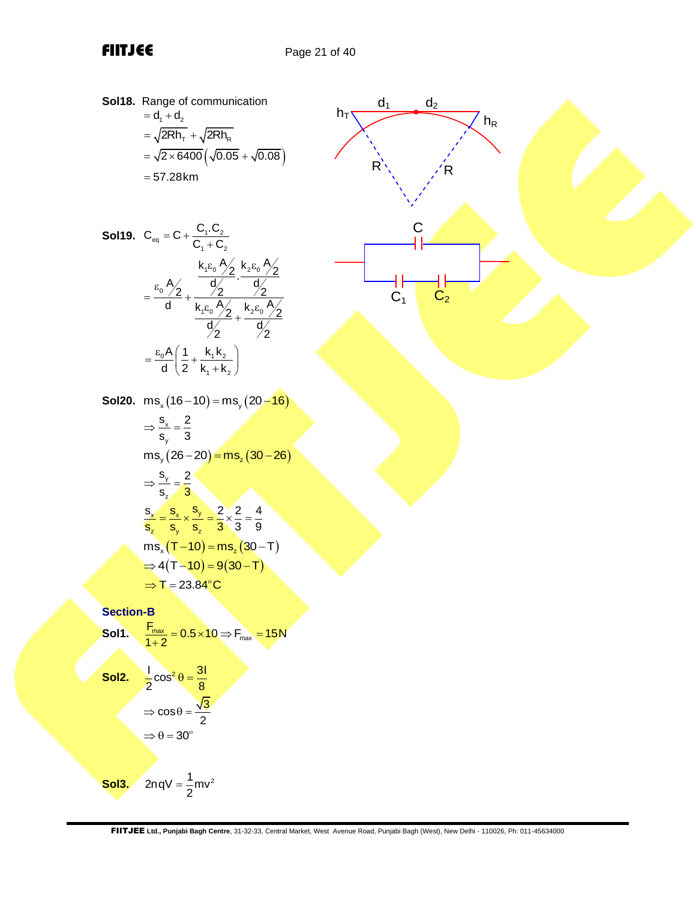$h_R$ 

 $d_1$   $d_2$ 

 $R^2$  / R

C

 $\overline{C}_1$   $\overline{C}_2$ 



**Sol19.** 
$$
C_{eq} = C + \frac{C_{1} \cdot C_{2}}{C_{1} + C_{2}}
$$
  
\n
$$
= \frac{\kappa_{1} \epsilon_{0} A_{2}}{d} + \frac{\frac{k_{1} \epsilon_{0} A_{2}}{d}}{\frac{k_{1} \epsilon_{0} A_{2}}{d}} + \frac{\frac{k_{2} \epsilon_{0} A_{2}}{d}}{\frac{d}{2}}
$$
\n
$$
= \frac{\epsilon_{0} A}{d} \left( \frac{1}{2} + \frac{k_{1} k_{2}}{k_{1} + k_{2}} \right)
$$

**Sol20.** ms<sub>x</sub> (16 – 10) = ms<sub>y</sub> (20 – 16)

$$
\Rightarrow \frac{s_x}{s_y} = \frac{2}{3}
$$
  
\n
$$
ms_y (26 - 20) = ms_z (30 - 26)
$$
  
\n
$$
\Rightarrow \frac{s_y}{s_z} = \frac{2}{3}
$$
  
\n
$$
\frac{s_x}{s_z} = \frac{s_x}{s_y} \times \frac{s_y}{s_z} = \frac{2}{3} \times \frac{2}{3} = \frac{4}{9}
$$
  
\n
$$
ms_x (T - 10) = ms_z (30 - T)
$$
  
\n
$$
\Rightarrow 4(T - 10) = 9(30 - T)
$$
  
\n
$$
\Rightarrow T = 23.84^{\circ}C
$$

### **Section-B**

Sol1. 
$$
\frac{F_{\text{max}}}{1+2} = 0.5 \times 10 \Rightarrow F_{\text{max}} = 15 \text{N}
$$

\nSol2. 
$$
\frac{1}{2} \cos^{2} \theta = \frac{3!}{8}
$$

\n
$$
\Rightarrow \cos \theta = \frac{\sqrt{3}}{2}
$$

\n
$$
\Rightarrow \theta = 30^{\circ}
$$

\nSol3. 
$$
2nqV = \frac{1}{2}mv^{2}
$$

FIITJEE **Ltd., Punjabi Bagh Centre**, 31-32-33, Central Market, West Avenue Road, Punjabi Bagh (West), New Delhi - 110026, Ph: 011-45634000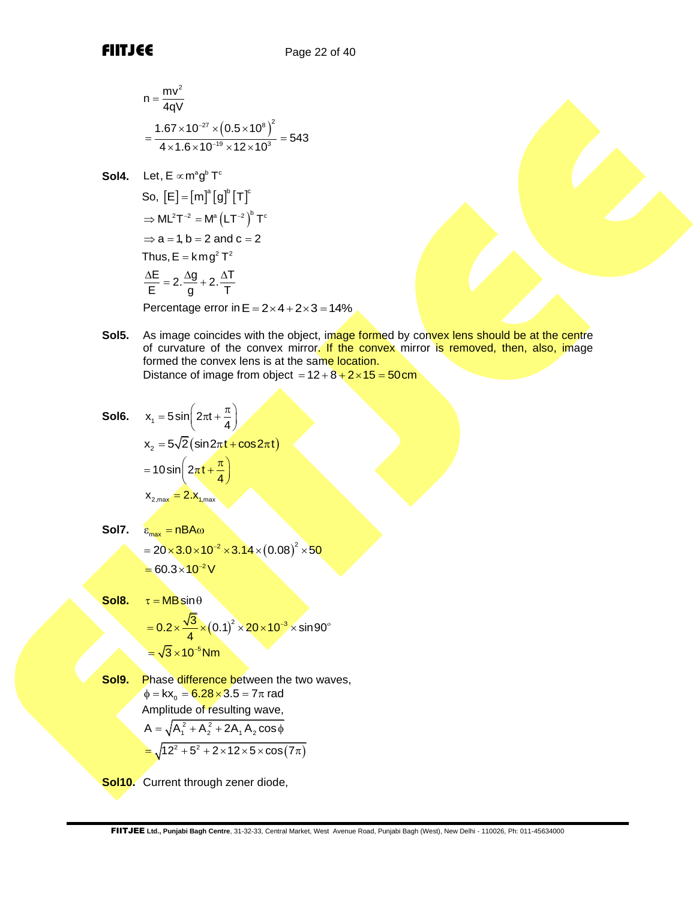n = 
$$
\frac{mv^2}{4qV}
$$
  
=  $\frac{1.67 \times 10^{-27} \times (0.5 \times 10^8)^2}{4 \times 1.6 \times 10^{-19} \times 12 \times 10^3}$  = 543

FIITHE LH, PUNJABI BAG<sub>1</sub> (0.5 x<sup>-17</sup> - 10026)<sup>2</sup> - 124-32<br>
- 44-16 - 124-3<sup>7</sup> - <sup>13</sup> - 14-17<sup>-1</sup> <sup>- 1</sup><sup>-</sup> - <sup>2</sup> - 14-2-33<br>
- 14-12-4 - <sup>2</sup> - - 14-17<sup>-1</sup> <sup>- 1</sup><br>
- 20-1 - 12-102 - 24-2 - 24-2 - 25-14<br>
- 20-1 - 20-12-4 - **Sol4.** Let,  $E \propto m^a g^b T^c$ So,  $[E] = [m]^a [g]^b [T]^c$  $\Rightarrow$  ML<sup>2</sup>T<sup>-2</sup> = M<sup>a</sup>  $(LT^{-2})^b$  T<sup>o</sup>  $\Rightarrow$  a = 1, b = 2 and c = 2 Thus,  $E = kmg^2T^2$  $\frac{\Delta E}{E} = 2.\frac{\Delta g}{g} + 2.\frac{\Delta T}{T}$  $\frac{\Delta E}{\Sigma}$  = 2.  $\frac{\Delta g}{\Sigma}$  + 2.  $\frac{\Delta T}{T}$ Percentage error in  $E = 2 \times 4 + 2 \times 3 = 14\%$ 

**Sol5.** As image coincides with the object, image formed by convex lens should be at the centre of curvature of the convex mirror. If the convex mirror is removed, then, also, image formed the convex lens is at the same location. Distance of image from object  $= 12 + 8 + 2 \times 15 = 50$  cm

**Sol6.** 
$$
x_1 = 5\sin\left(2\pi t + \frac{\pi}{4}\right)
$$
  
\n $x_2 = 5\sqrt{2}(\sin 2\pi t + \cos 2\pi t)$   
\n $= 10\sin\left(2\pi t + \frac{\pi}{4}\right)$   
\n $x_{2,max} = 2.x_{1,max}$ 

 $Sol7.$   $\varepsilon_{\text{max}} = nBA\omega$ 

 $= 20 \times 3.0 \times 10^{-2} \times 3.14 \times (0.08)^2 \times 50$  $= 60.3 \times 10^{-2}$  V

**Sol8.**  $\tau = MB \sin \theta$ 

$$
= 0.2 \times \frac{\sqrt{3}}{4} \times (0.1)^2 \times 20 \times 10^{-3} \times \sin 90^\circ
$$
  
=  $\sqrt{3} \times 10^{-5}$  Nm

**Sol9.** Phase difference between the two waves,  $\phi = kx_0 = 6.28 \times 3.5 = 7\pi$  rad Amplitude of resulting wave,  $A = \sqrt{A_1^2 + A_2^2 + 2A_1A_2\cos\phi}$  $=\sqrt{12^2+5^2+2\times12\times5\times\cos(7\pi)}$ 

**Sol10.** Current through zener diode,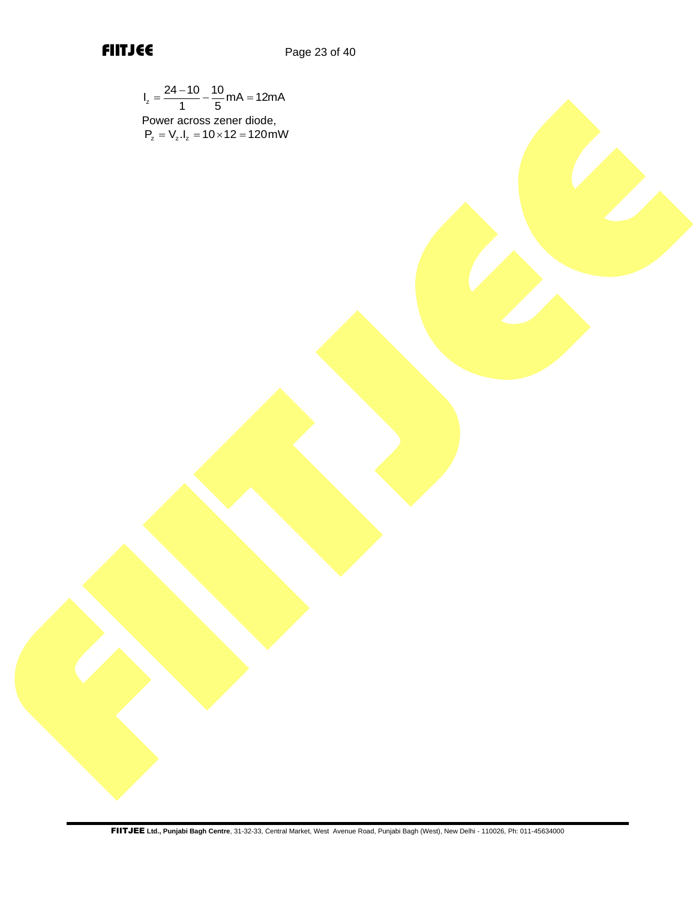$I_z = \frac{24-10}{1} - \frac{10}{5}$  mA = 12mA Power across zener diode,<br> $P_z = V_z.l_z = 10 \times 12 = 120$  mW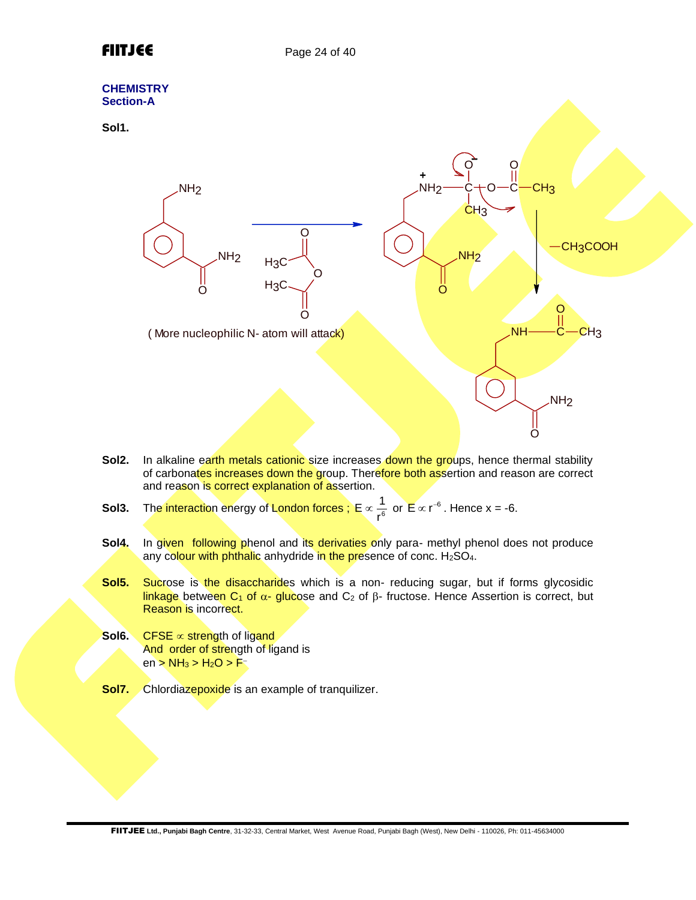### **CHEMISTRY Section-A**

**Sol1.**



- **Sol2.** In alkaline earth metals cationic size increases down the groups, hence thermal stability of carbonates increases down the group. Therefore both assertion and reason are correct and reason is correct explanation of assertion.
- **Sol3.** The interaction energy of L<mark>ondon forces;E</mark>  $\propto$   $\frac{1}{\tau_{6}}$  $E \propto \frac{1}{6}$ r  $\propto$   $\frac{1}{6}$  or  $\overline{E}$   $\propto$  r<sup>−6</sup>. Hence x = -6.
- **Sol4.** In given following phenol and its derivaties only para- methyl phenol does not produce any colour with phthalic anhydride in the presence of conc. H<sub>2</sub>SO<sub>4</sub>.
- **Sol5.** Sucrose is the disaccharides which is a non- reducing sugar, but if forms glycosidic linkage between C<sub>1</sub> of α- glucose and C<sub>2</sub> of β- fructose. Hence Assertion is correct, but Reason is incorrect.
- **Sol6.** CFSE  $\infty$  strength of ligand And order of strength of ligand is en > NH<sub>3</sub> > H<sub>2</sub>O > F<sup>−</sup>
- **Sol7.** Chlordiazepoxide is an example of tranquilizer.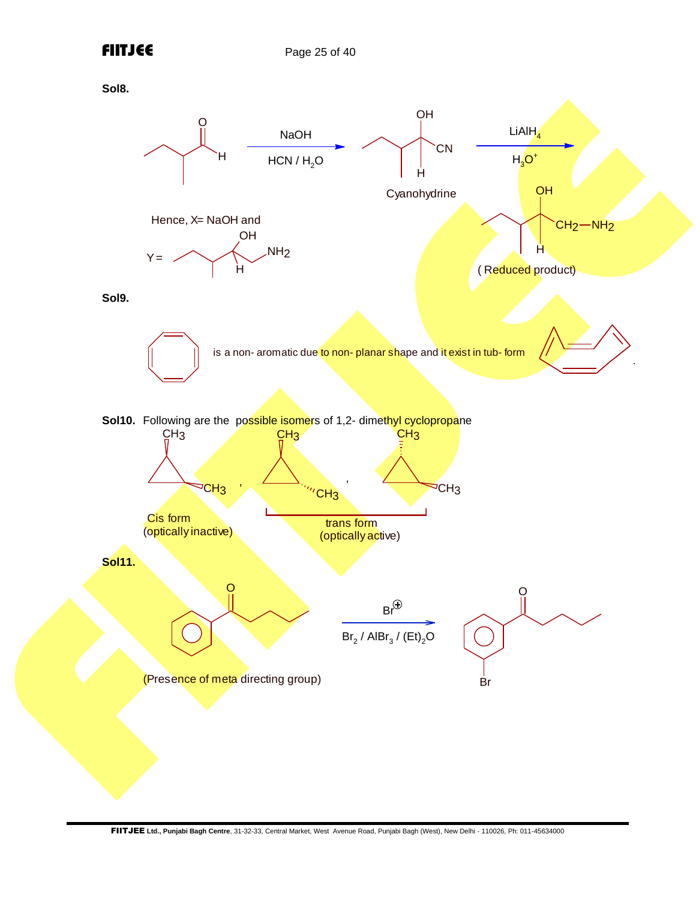**Sol8.**

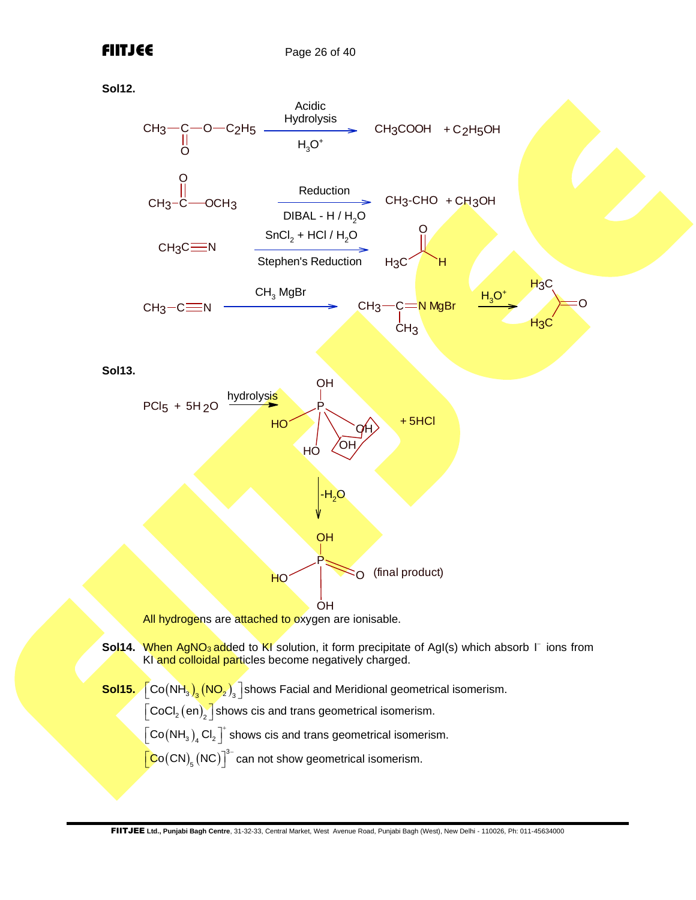**Sol12.**

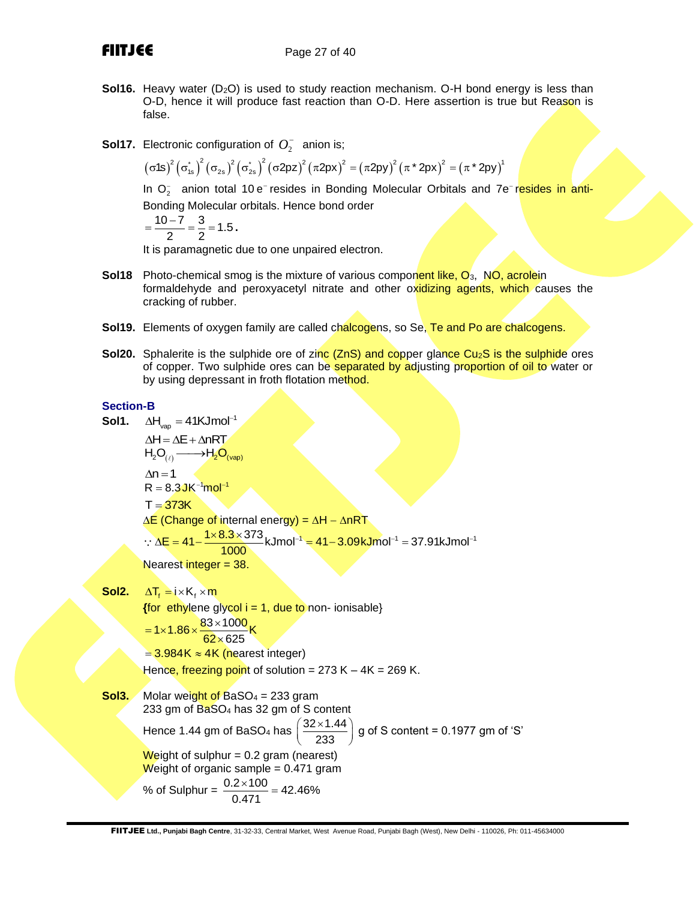- **Sol16.** Heavy water (D<sub>2</sub>O) is used to study reaction mechanism. O-H bond energy is less than O-D, hence it will produce fast reaction than O-D. Here assertion is true but Reason is false.
- 

**Sol17.** Electronic configuration of 
$$
O_2^-
$$
 anion is;  
\n
$$
(\sigma \text{1s})^2 (\sigma_{\text{1s}}^*)^2 (\sigma_{\text{2s}}^*)^2 (\sigma_{\text{2s}}^*)^2 (\sigma \text{2pz})^2 (\pi \text{2px})^2 = (\pi \text{2py})^2 (\pi \text{2px})^2 = (\pi \text{2py})^1
$$

In O<sub>2</sub> anion total 10 e<sup>−</sup> resides in Bonding Molecular Orbitals and 7e<sup>−</sup> r<mark>esides in anti-</mark> Bonding Molecular orbitals. Hence bond order

$$
=\frac{10-7}{2}=\frac{3}{2}=1.5.
$$

It is paramagnetic due to one unpaired electron.

- **Sol18** Photo-chemical smog is the mixture of various component like, O<sub>3</sub>, NO, acrolein formaldehyde and peroxyacetyl nitrate and other oxidizing agents, which causes the cracking of rubber.
- **Sol19.** Elements of oxygen family are called chalcogens, so Se, Te and Po are chalcogens.
- **Sol20.** Sphalerite is the sulphide ore of zinc (ZnS) and copper glance Cu<sub>2</sub>S is the sulphide ores of copper. Two sulphide ores can be separated by adjusting proportion of oil to water or by using depressant in froth flotation method.

### **Section-B**

**Sol1.**  $\Delta H_{\text{vap}} = 41$ KJmol<sup>-1</sup>  $\Delta H = \Delta E + \Delta nRT$ <br>  $H_2 O_{\text{(r)}} \longrightarrow H_2 O_{\text{(vap)}}$  $\Delta n = 1$  $R = 8.3$ JK $^{-1}$ mol $^{-1}$  $T = 373K$  $\Delta \mathsf{E}$  (Change of internal energy) =  $\Delta H - \Delta nRT$ = <mark>373K</mark><br> **: (Change of internal energy) = ∆H** − ∆nRT<br>∆E = 41 – <sup>1×8.3×373</sup> kJmol<sup>-1</sup> = 41 – 3.09kJmol<sup>-1</sup> = 37.91kJmol<sup>-1</sup> Nearest integer = 38. **Sol2.**  $\Delta T_i = i \times K_i \times m$ **{for ethylene glycol**  $i = 1$ **, due to non- ionisable}**  $\frac{1 \times 1.86 \times \frac{83 \times 1000}{62 \times 625}K}{\end{math}}$  $=1\times1.86\times\frac{83\times1}{62\times1}$  $=$  3.984K  $\approx$  4K (nearest integer) Hence, freezing point of solution =  $273 K - 4K = 269 K$ . **Sol3.** Molar weight of BaSO<sub>4</sub> = 233 gram 233 gm of  $BaSO<sub>4</sub>$  has 32 gm of S content Hence 1.44 gm of BaSO<sub>4</sub> has  $\left(\frac{32\times1.44}{200}\right)$ 233  $(32\times1.44)$  $\left(\frac{Q_2 \wedge \cdots \wedge Q_n}{233}\right)$  g of S content = 0.1977 gm of 'S' Weight of sulphur  $= 0.2$  gram (nearest) Weight of organic sample =  $0.471$  gram % of Sulphur =  $\frac{0.2 \times 100}{0.471}$  = 42.46%  $\frac{\times 100}{\sqrt{21}}$  =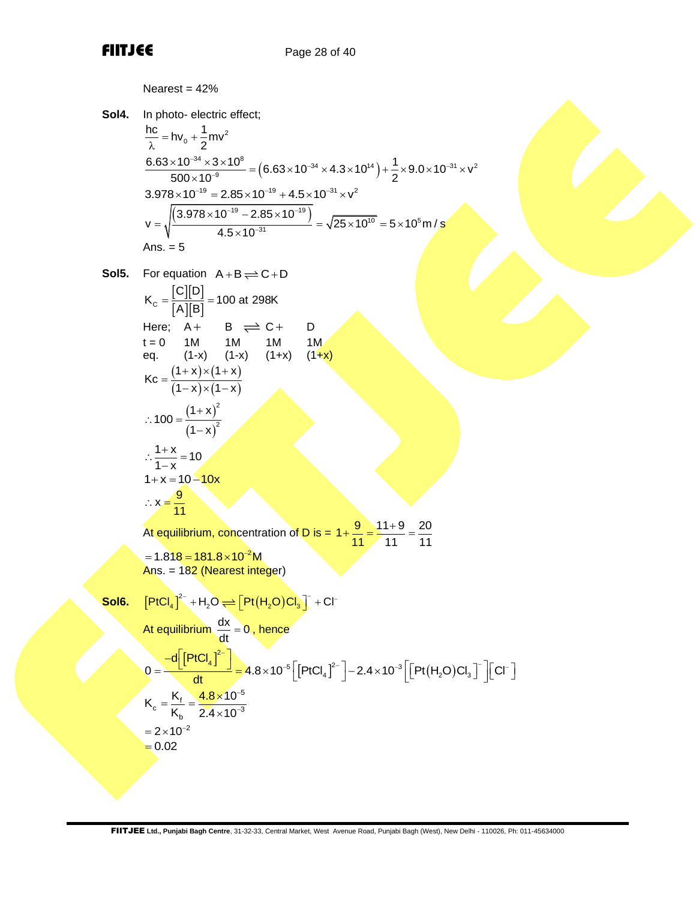Nearest =  $42%$ Sol4. In photo- electric effect;  $\frac{hc}{\lambda} = hv_0 + \frac{1}{2}mv^2$  $(6.63\times10^{-34}\times4.3\times10^{14})$  $\frac{120 \times 10^{-34} \times 3 \times 10^8}{6.63 \times 10^{-34} \times 3 \times 10^8} = (6.63 \times 10^{-34} \times 4.3 \times 10^{14}) + \frac{1}{2} \times 9.0 \times 10^{-31} \times V^2$ − hv<sub>0</sub> +  $\frac{1}{2}$ mv<sup>2</sup><br>  $\frac{\times 10^{-34} \times 3 \times 10^8}{500 \times 10^{-9}} = (6.63 \times 10^{-34} \times 4.3 \times 10^{14}) + \frac{1}{2} \times 9.0 \times 10^{-31} \times v^2$  $3.978 \times 10^{-19} = 2.85 \times 10^{-19} + 4.5 \times 10^{-31} \times v^2$  $\frac{(3.978 \times 10^{-19} - 2.85 \times 10^{-19})}{(3.978 \times 10^{-19} - 2.85 \times 10^{-19})}$  $\frac{\times 10^{-19} = 2.85 \times 10^{-19} + 4.5 \times 10^{-31} \times v^2}{3.978 \times 10^{-19} - 2.85 \times 10^{-19}} = \sqrt{25 \times 10^{10}} = 5 \times 10^5$  $v = \sqrt{\frac{(3.978 \times 10^{-19} - 2.85 \times 10^{-19})}{4.5 \times 10^{-31}}} = \sqrt{25 \times 10^{10}} = 5 \times 10^{5} \text{ m/s}$  $\frac{-19}{-19}$  – 2.85 × 10<sup>-19</sup>  $\frac{=2.85\times10^{-19}+4.5\times10^{-19}-2.85\times10^{-19}}{4.5\times10^{-31}}$  $=\sqrt{\frac{(3.978\times10^{-19}-2.85\times10^{-19})}{4.5\times10^{-31}}}\ = \sqrt{25\times10^{10}} = 5\times10^{5} \text{ m/s}$ Ans.  $= 5$ **Sol5.** For equation  $A + B \rightleftharpoons C + D$  $|C||D|$  $\circ$  [A][B]  $K_c = \frac{[C][D]}{[A][B]} = 100$  at 298K  $=\frac{[C][D]}{[A][D]}=10$ Here;  $A + B \rightleftharpoons C + D$ t = 0 1M 1M 1M 1M eq. (1-x) (1-x) (1+x) (1<mark>+x)</mark>  $(1 + x) \times (1 + x)$  $(1 - x) \times (1 - x)$  $Kc = \frac{(1+x)\times(1+x)}{(1-x)\times(1-x)}$  $=\frac{(1+x)\times(1+x)}{(1-x)\times(1-x)}$  $(1 + x)^2$  $(1 - x)^2$ 2 2  $100 = \frac{(1 + x)^2}{x^2}$  $1 - x$  $\therefore 100 = \frac{(1 +$ −  $\frac{1+x}{1-x} = 10$  $\therefore \frac{1+x}{1-x} =$  $1 + x = 10 - 10x$  $x = \frac{9}{11}$  $\therefore$  X  $=$ At equilibrium, concentration of D is =  $1 + \frac{9}{11} = \frac{11+9}{11} = \frac{20}{11}$  $11$  11  $-$  11  $+\frac{9}{11} = \frac{11+9}{11} = \frac{2}{7}$ =1.8<mark>18 =181.8×10<sup>-2</sup>M</mark> Ans. = 182 (Nearest integer) **Sol6.**  $[PLCI_4]^2$ <sup>-</sup> + H<sub>2</sub>O  $\rightleftharpoons$   $[Pt(H_2O)Cl_3]$ <sup>-</sup> + Cl<sup>-</sup> +  $H_2O \rightleftharpoons [Pt(H_2O)Cl_3]^{T}$  + Cl<sup>-</sup> 2  $\overline{\mathsf{PtCl}_4\big]^{\!2^-}} + \mathsf{H}_2\mathsf{O} \rightleftharpoons \overline{\big[\mathsf{Pt}\big(\mathsf{H}_2\mathsf{O}\big)\mathsf{Cl}_3\big]}^+ + \mathsf{Cl}$ At equilibrium  $\frac{dx}{dt} = 0$  $= 0$  , hence  $|PtCl<sub>4</sub>|$  $|PtCl_4|^{\epsilon^-}$   $|-2.4\times10^{-3}|$   $|Pt(H_2O)$  $4 \frac{1^{2}}{2}$  = 4.8 × 10<sup>-5</sup>  $\left[$   $\left[$  PtCl<sub>4</sub>  $\right]^{2}$   $\left[$   $-$  2.4 × 10<sup>-3</sup>  $\left[$   $\left[$  Pt $\left($  H<sub>2</sub>O $\right)$  Cl<sub>3</sub> uilibriu<mark>n</mark><br>d<sup>[</sup>[PtCl  $0 = \frac{-d[[PtCl_4]^2]}{dt} = 4.8 \times 10^{-5} [[PtCl_4]^2]^{-} - 2.4 \times 10^{-3} [[Pt(H_2O)Cl_3]^{-}] [Cl_4]^{-}$ − − − − − − equilibrium  $\frac{dx}{dt} = 0$ , hence<br> $= \frac{-d [[PtCl_4]^2]}{dt} = 4.8 \times 10^{-5} [[PtCl_4]^2]^{-} - 2.4 \times 10^{-3} [[Pt(H_2O)Cl_3]^{-}] [Cl^{-}]$  $f_c = \frac{K_f}{K_b} = \frac{4.8 \times 10^{-5}}{2.4 \times 10^{-3}}$  $K_c = \frac{K_f}{K} = \frac{4.8 \times 10}{2.4 \times 10^{-4}}$  $\overline{K_{b}}$  - 2.4×10 − −  $=\frac{K_f}{K_b}=\frac{4.8 \times 10^{-11} \text{ J s}}{2.4 \times 10^{-11} \text{ J}}$  $= 2 \times 10^{-2}$  $= 0.02$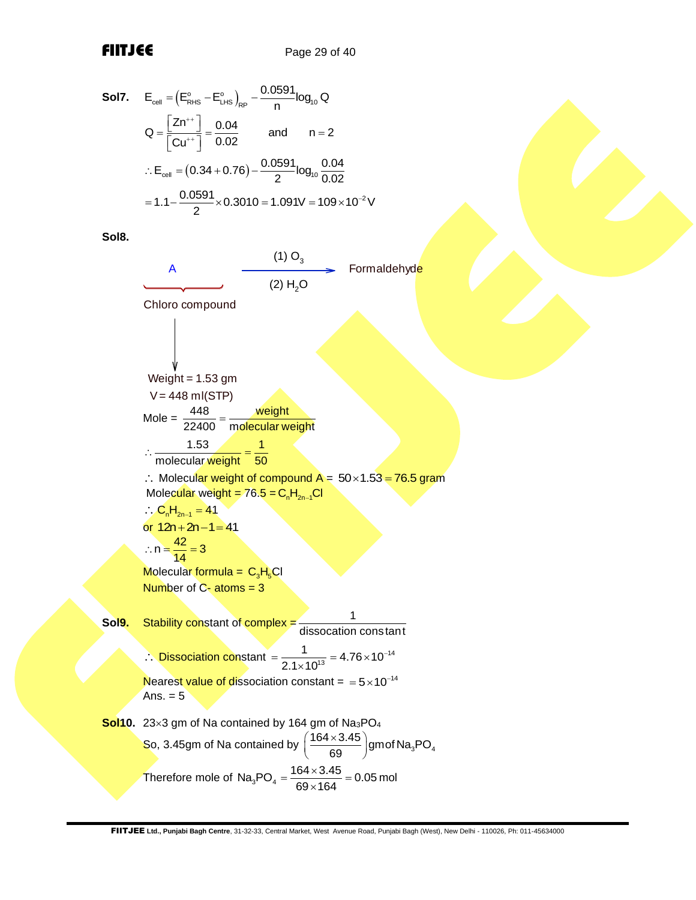**Sol7.** 
$$
E_{cell} = (E_{RHS}^{\circ} - E_{LHS}^{\circ})_{RP} - \frac{0.0591}{n} \log_{10} Q
$$
  
\n $Q = \frac{[Zn^{++}]}{[Cu^{++}]} = \frac{0.04}{0.02}$  and  $n = 2$   
\n $\therefore E_{cell} = (0.34 + 0.76) - \frac{0.0591}{2} \log_{10} \frac{0.04}{0.02}$   
\n $= 1.1 - \frac{0.0591}{2} \times 0.3010 = 1.091V = 109 \times 10^{-2} V$ 

**Sol8.**

Sol9.

A  
\n
$$
(1) O_3
$$
\n
$$
(2) H_2O
$$
\n
$$
(2) H_2O
$$
\n
$$
(2) H_2O
$$
\n
$$
(2) H_2O
$$
\n
$$
(2) H_2O
$$
\n
$$
(2) H_2O
$$
\n
$$
(2) H_2O
$$
\n
$$
(2) H_2O
$$
\n
$$
(2) H_2O
$$
\n
$$
(2) H_2O
$$
\n
$$
(2) H_2O
$$
\n
$$
(2) H_2O
$$
\n
$$
(2) H_2O
$$
\n
$$
(2) H_2O
$$
\n
$$
(2) H_2O
$$
\n
$$
(2) H_2O
$$
\n
$$
(2) H_2O
$$
\n
$$
(2) H_2O
$$
\n
$$
(2) H_2O
$$
\n
$$
(2) H_2O
$$
\n
$$
(2) H_2O
$$
\n
$$
(2) H_2O
$$
\n
$$
(2) H_2O
$$
\n
$$
(2) H_2O
$$
\n
$$
(2) H_2O
$$
\n
$$
(2) H_2O
$$
\n
$$
(2) H_2O
$$
\n
$$
(2) H_2O
$$
\n
$$
(2) H_2O
$$
\n
$$
(2) H_2O
$$
\n
$$
(2) H_2O
$$
\n
$$
(2) H_2O
$$
\n
$$
(2) H_2O
$$
\n
$$
(2) H_2O
$$
\n
$$
(2) H_2O
$$
\n
$$
(2) H_2O
$$
\n
$$
(2) H_2O
$$
\n
$$
(2) H_2O
$$
\n
$$
(2) H_2O
$$
\n
$$
(2) H_2O
$$
\n
$$
(2) H_2O
$$
\n
$$
(2) H_2O
$$
\n
$$
(2) H_2O
$$
\n
$$
(2) H_2O
$$
\n
$$
(2) H_2O
$$
\n
$$
(2) H_2O
$$
\n
$$
(2) H
$$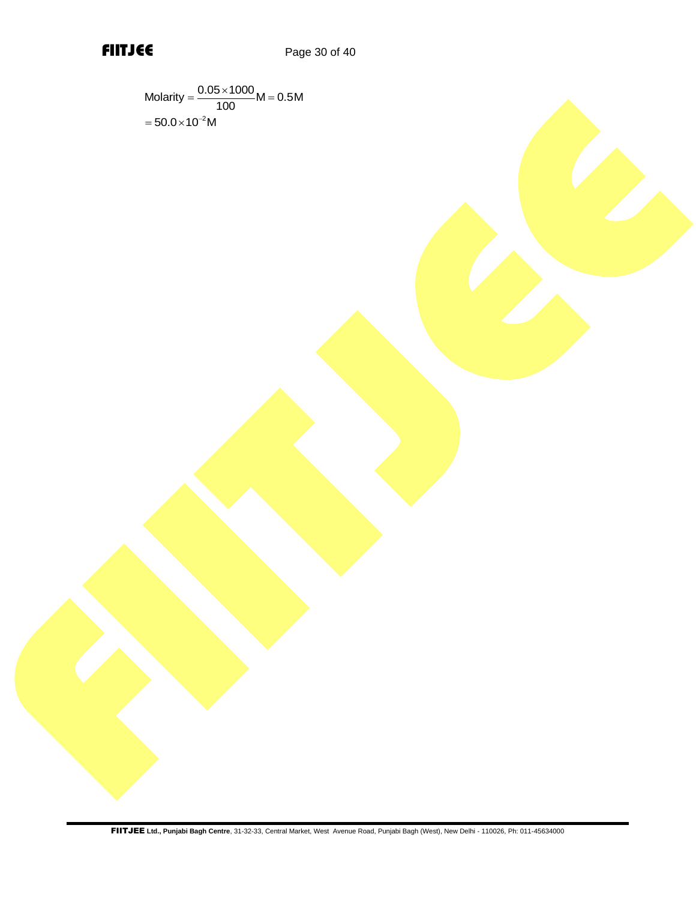

FIX JUNGARIY = <sup>0</sup> 0.05 - 10<sup>03</sup> M<br>= 50.0 - 10<sup>-7</sup> M<br><sup>21</sup>-32-33, Centre <sup>21</sup>-30<br><sup>21</sup>-32-34-34, Centre Road, Punjabi Bagh (West Avenue Road, Punjabi Bagh (West), New Delhi - 110026, Ph: 011-4563400<br><sup>21</sup>-4563400 0.05 1000 Mo 100  $=\frac{0.05 \times 1000}{100}$ M = 0.5  $= 50.0 \times 10^{-2}$ M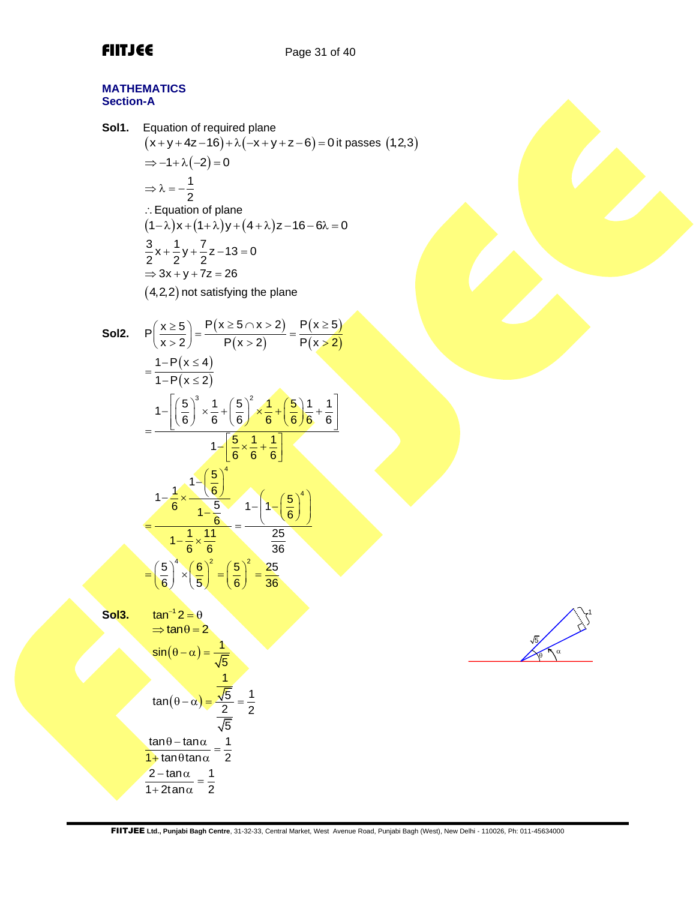### **MATHEMATICS Section-A**

**Sol1.** Equation of required plane Equation of required plane<br> $\big($ x + y + 4z –16 $\big)$ + $\lambda (-$ x + y + z – 6 $\big)$  = 0 it passes  $\big($ 1,2,3 $\big)$  $\Rightarrow -1 + \lambda(-2) = 0$ 1 2  $\Rightarrow \lambda = -$  Equation of plane  $(1 - \lambda)x + (1 + \lambda)y + (4 + \lambda)z - 16 - 6\lambda = 0$  $\frac{3}{2}x + \frac{1}{2}y + \frac{7}{2}z - 13 = 0$  $\Rightarrow$  3x + y + 7z = 26 (4,2,2) not satisfying the plane

SoI2. 
$$
P\left(\frac{x \ge 5}{x > 2}\right) = \frac{P(x \ge 5 \cap x > 2)}{P(x > 2)} = \frac{P(x \ge 5)}{P(x > 2)}
$$
  
= 
$$
\frac{1-P(x \le 4)}{1-P(x \le 2)}
$$
  
= 
$$
\frac{1-\left[\left(\frac{5}{6}\right)^3 \times \frac{1}{6} + \left(\frac{5}{6}\right)^2 \times \frac{1}{6} + \left(\frac{5}{6}\right)\frac{1}{6} + \frac{1}{6}\right]}{1-\left[\frac{5}{6} \times \frac{1}{6} + \frac{1}{6}\right]}
$$
  
= 
$$
\frac{1-\frac{1}{6} \times \frac{1}{1-\frac{5}{6}}}{1-\frac{1}{6} \times \frac{11}{6}} = \frac{1-\left(1-\left(\frac{5}{6}\right)^4\right)}{\frac{25}{36}}
$$
  
= 
$$
\left(\frac{5}{6}\right)^4 \times \left(\frac{6}{5}\right)^2 = \left(\frac{5}{6}\right)^2 = \frac{25}{36}
$$
  
SoI3. 
$$
\tan^{-1}2 = \theta
$$
  
⇒ 
$$
\tan \theta = 2
$$
  
sin(\theta, \alpha) = 1

$$
\sin(\theta - \alpha) = \frac{1}{\sqrt{5}}
$$
  
\n
$$
\tan(\theta - \alpha) = \frac{\frac{1}{\sqrt{5}}}{\frac{2}{\sqrt{5}}} = \frac{1}{2}
$$
  
\n
$$
\frac{\tan \theta - \tan \alpha}{\frac{1 + \tan \theta \tan \alpha}{2}} = \frac{1}{2}
$$
  
\n
$$
\frac{2 - \tan \alpha}{1 + 2 \tan \alpha} = \frac{1}{2}
$$

 $\theta$  $\alpha$  1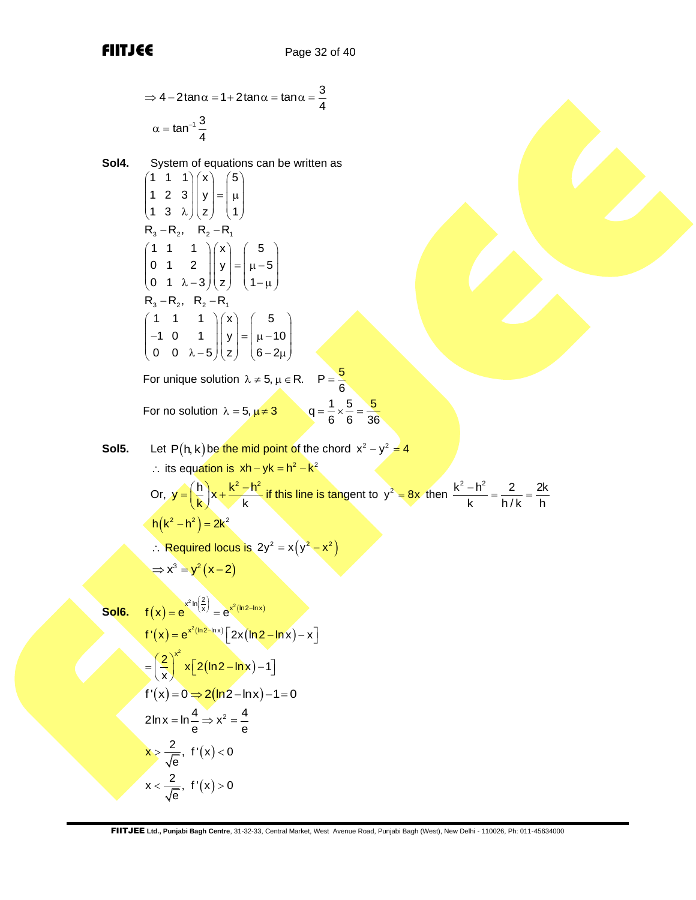$$
\Rightarrow 4 - 2 \tan \alpha = 1 + 2 \tan \alpha = \tan \alpha = \frac{3}{4}
$$

$$
\alpha = \tan^{-1} \frac{3}{4}
$$

 $\Rightarrow$  4 - 2 han α = 1 + 2 han α = 1 an α =  $\frac{3}{4}$ <br>  $\alpha$  = tan  $\frac{3}{4}$ <br>  $\alpha$  = tan  $\frac{3}{4}$ <br>  $\left(\begin{array}{c|c} 1 & 1 \ 1 & 3 \end{array}\right) \begin{array}{c} x \\ y \\ z \end{array}\right) = \begin{pmatrix} 0 \\ y \\ y \\ z \end{pmatrix}$ <br>  $\left(\begin{array}{c|c} 1 & 1 \ 1 & 1 \end{array}\right) \begin{array}{c} x \\ y \\ z \end{array}\right)$ **Sol4.** System of equations can be written as  $(1 \ 1 \ 1)(x)$   $(5)$ 1 2  $3$  | y 1 3  $\lambda$  $\vert z \rangle$   $\vert 1$  $\begin{pmatrix} 1 & 1 & 1 \\ 1 & 2 & 3 \end{pmatrix} \begin{pmatrix} x \\ y \end{pmatrix} - \begin{pmatrix} 5 \\ y \end{pmatrix}$  $\begin{pmatrix} 1 & 2 & 3 \\ 1 & 3 & \lambda \end{pmatrix} \begin{pmatrix} y \\ z \end{pmatrix} = \begin{pmatrix} \mu \\ 1 \end{pmatrix}$  $R_3 - R_2$ ,  $R_2 - R_1$ 1 1 1  $|(x)$  (5 0 1 2  $\|y\| = \mu - 5$  $0$  1  $\lambda - 3$  $\left| \begin{matrix} 2 \\ 2 \end{matrix} \right|$   $\left| \begin{matrix} 1 \\ 1 \end{matrix} \right|$  $\begin{pmatrix} 1 & 1 & 1 \\ 0 & 1 & 2 \end{pmatrix} \begin{pmatrix} x \\ y \end{pmatrix} = \begin{pmatrix} 5 \\ y = 5 \end{pmatrix}$  $\begin{pmatrix} 0 & 1 & 2 \\ 0 & 1 & \lambda - 3 \end{pmatrix} \begin{pmatrix} y \\ z \end{pmatrix} = \begin{pmatrix} \mu - 5 \\ 1 - \mu \end{pmatrix}$  $R_3 - R_2$ ,  $R_2 - R_1$  $1 \quad 1 \quad 1 \quad |x| \quad 5$ 1 0 1  $\|y\| = \mu - 10$ 0 0  $\lambda - 5$  $\begin{pmatrix} 2 \\ 2 \end{pmatrix}$   $\begin{pmatrix} 6 \\ -2 \end{pmatrix}$  $\begin{pmatrix} 1 & 1 & 1 \\ -1 & 0 & 1 \end{pmatrix} \begin{pmatrix} x \\ y \end{pmatrix} = \begin{pmatrix} 5 \\ y -10 \end{pmatrix}$  $\begin{pmatrix} -1 & 0 & 1 \\ 0 & 0 & \lambda - 5 \end{pmatrix} \begin{pmatrix} y \\ z \end{pmatrix} = \begin{pmatrix} \mu - 10 \\ 6 - 2\mu \end{pmatrix}$ For unique solution  $\lambda \neq 5$ ,  $\mu \in R$ .  $P = \frac{5}{6}$ For no solution  $\lambda = 5$ ,  $\mu \neq 3$  $\lambda = 5, \mu \neq 3$   $q = \frac{1}{6} \times \frac{5}{6} = \frac{5}{36}$  $=\frac{1}{2} \times \frac{6}{2} =$ Sol<sub>5</sub>. P(h, k) be the mid point of the chord  $x^2 - y^2 = 4$ ∴ its equation is  $xh - yk = h^2 - k^2$ Or,  $y = \left(\frac{h}{k}\right) x + \frac{k^2 - h^2}{k}$  $=\left(\frac{h}{k}\right)x + \frac{k^2 - h^2}{k}$  if this line is tangent to  $y^2 = 8x$  then  $\frac{k^2 - h^2}{k} = \frac{2}{h/k} = \frac{2k}{h}$  $k$  h/k h  $\frac{-h^2}{h} = \frac{2}{h} = \frac{2}{h}$  $\mathsf{h}\big(\mathsf{k}^2-\mathsf{h}^2\big)$  =  $2\mathsf{k}^2$ ∴ Required locus is  $2y^2 = x(y^2 - x^2)$  $\Rightarrow$   $x^3 = y^2 (x-2)$ **Sol6.**  $f(x) = e^{x^2 \ln(\frac{2}{x})} = e^{x^2(\ln(2 - \ln x))}$  $f'(x) = e^{x^2(\ln 2 - \ln x)} [2x(\ln 2 - \ln x) - x]$  $(ln2 - ln x)$  $\left(\frac{2}{x}\right)^{x^2}$  x  $\left[2(\ln 2 - \ln x) - 1\right]$  $=\left(\frac{2}{x}\right)^{x^2} x \left[2(\ln 2 - \ln x) - 1\right]$ <br>f'(x) = 0  $\Rightarrow$  2(ln2 - ln x) - 1 = 0  $2\ln x = \ln \frac{4}{e} \Rightarrow x^2 = \frac{4}{e}$  $= \ln \frac{4}{7} \Rightarrow x^2 = \frac{4}{7}$  $x > \frac{2}{\sqrt{n}}$ , f'(x) < 0 e  $>\frac{2}{\sqrt{2}}$ , f'(x) < 0  $x < \frac{2}{\sqrt{2}}$ , f'(x) > 0 e  $\lt \frac{2}{\sqrt{2}}$ , f'(x) > 0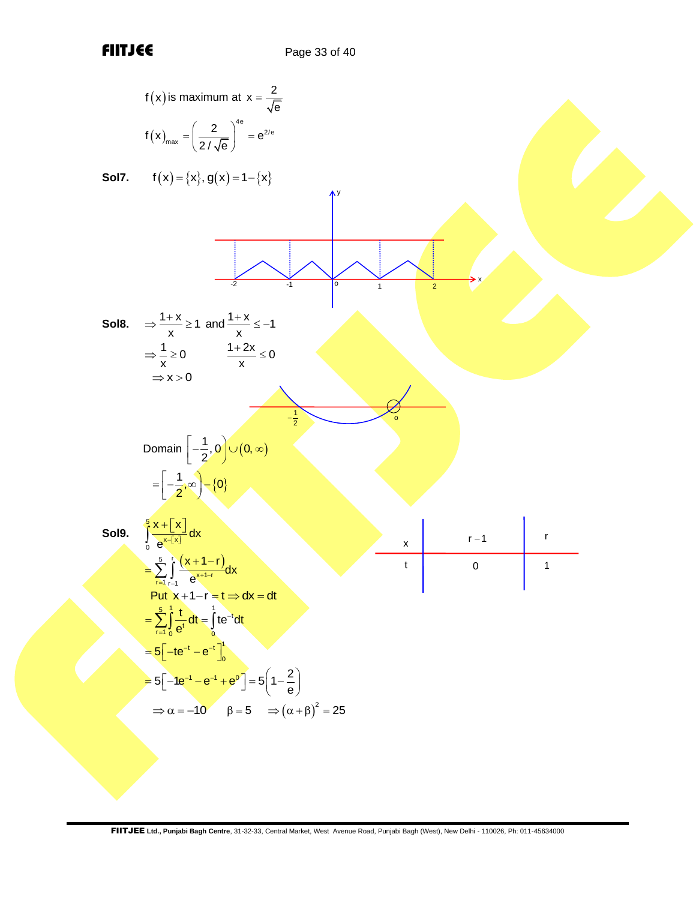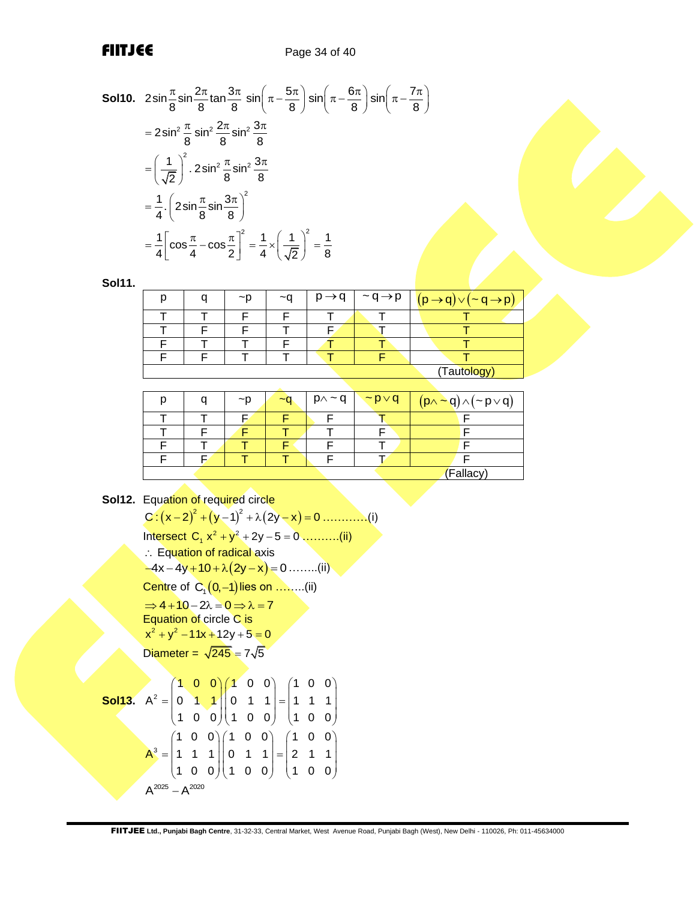**Sol10.** 
$$
2\sin\frac{\pi}{8}\sin\frac{2\pi}{8}\tan\frac{3\pi}{8}\sin\left(\pi-\frac{5\pi}{8}\right)\sin\left(\pi-\frac{6\pi}{8}\right)\sin\left(\pi-\frac{7\pi}{8}\right)
$$
  
\n
$$
=2\sin^2\frac{\pi}{8}\sin^2\frac{2\pi}{8}\sin^2\frac{3\pi}{8}
$$
\n
$$
=\left(\frac{1}{\sqrt{2}}\right)^2 \cdot 2\sin^2\frac{\pi}{8}\sin^2\frac{3\pi}{8}
$$
\n
$$
=\frac{1}{4}\cdot\left(2\sin\frac{\pi}{8}\sin\frac{3\pi}{8}\right)^2
$$
\n
$$
=\frac{1}{4}\left[\cos\frac{\pi}{4}-\cos\frac{\pi}{2}\right]^2=\frac{1}{4}\times\left(\frac{1}{\sqrt{2}}\right)^2=\frac{1}{8}
$$

**Sol11.**

|  |  | $\neg$ p | $-a$ |  |  | $p \rightarrow q$   ~q $\rightarrow p$   $(p \rightarrow q) \vee (q \rightarrow p)$ |
|--|--|----------|------|--|--|-------------------------------------------------------------------------------------|
|  |  |          |      |  |  |                                                                                     |
|  |  |          |      |  |  |                                                                                     |
|  |  |          |      |  |  |                                                                                     |
|  |  |          |      |  |  |                                                                                     |
|  |  |          |      |  |  | (Tautology)                                                                         |
|  |  |          |      |  |  |                                                                                     |

|           |  | $\neg p$ | $-q$ | $ p \wedge - q $ | $\neg p \lor q$ | $(p \wedge \neg q) \wedge (\neg p \vee q)$ |
|-----------|--|----------|------|------------------|-----------------|--------------------------------------------|
|           |  |          |      |                  |                 |                                            |
|           |  |          |      |                  |                 |                                            |
|           |  |          |      |                  |                 |                                            |
|           |  |          |      |                  |                 |                                            |
| (Fallacy) |  |          |      |                  |                 |                                            |

**Sol12.** Equation of required circle  $C: (x-2)^2 + (y-1)^2 + \lambda(2y-x) = 0 \dots (i)$ Intersect  $C_1 x^2 + y^2 + 2y - 5 = 0$  ..........(ii) : Equation of radical axis  $-4x - 4y + 10 + λ(2y - x) = 0$  ........(ii) Centre of  $C_1(0,-1)$  lies on ………(ii)  $\Rightarrow$  4 + 10 - 2 $\lambda$  = 0  $\Rightarrow$   $\lambda$  = 7 **Equation of circle C is**  $x^{2} + y^{2} - 11x + 12y + 5 = 0$ Diameter =  $\sqrt{245}$  = 7 $\sqrt{5}$ **Sol13.**  $A^2 = \begin{pmatrix} 1 & 0 & 0 \\ 0 & 1 & 1 \end{pmatrix} \begin{pmatrix} 1 & 0 & 0 \\ 0 & 1 & 1 \end{pmatrix} = \begin{pmatrix} 1 & 0 & 0 \\ 1 & 1 & 1 \end{pmatrix}$  $A^2 = \begin{bmatrix} 1 & 0 & 0 \\ 0 & 1 & 1 \end{bmatrix} \begin{bmatrix} 1 & 0 & 0 \\ 0 & 1 & 1 \end{bmatrix} = \begin{bmatrix} 1 & 0 & 0 \\ 1 & 1 & 1 \end{bmatrix}$  $\begin{pmatrix} 0 & 1 & 1 \\ 1 & 0 & 0 \end{pmatrix} \begin{pmatrix} 0 & 1 & 1 \\ 1 & 0 & 0 \end{pmatrix} = \begin{pmatrix} 1 & 1 & 1 \\ 1 & 0 & 0 \end{pmatrix}$  $\begin{pmatrix} 1 & 0 & 0 \\ 0 & 1 & 1 \end{pmatrix} \begin{pmatrix} 1 & 0 & 0 \\ 0 & 1 & 1 \end{pmatrix} = \begin{pmatrix} 1 & 0 & 0 \\ 1 & 1 & 1 \end{pmatrix}$  $=\begin{pmatrix} 1 & 0 & 0 \\ 0 & 1 & 1 \\ 1 & 0 & 0 \end{pmatrix} \begin{pmatrix} 1 & 0 & 0 \\ 0 & 1 & 1 \\ 1 & 0 & 0 \end{pmatrix} = \begin{pmatrix} 1 & 0 & 0 \\ 1 & 1 & 1 \\ 1 & 0 & 0 \end{pmatrix}$  $\begin{bmatrix} 1 & 0 & 0 \\ 1 & 1 & 1 \end{bmatrix} \begin{bmatrix} 1 & 0 & 0 \\ 0 & 1 & 1 \end{bmatrix} \begin{bmatrix} 1 & 0 & 0 \\ 0 & 1 & 1 \end{bmatrix}$  $A^3 = \begin{bmatrix} 1 & 0 & 0 \\ 1 & 1 & 1 \end{bmatrix} \begin{bmatrix} 1 & 0 & 0 \\ 0 & 1 & 1 \end{bmatrix} = \begin{bmatrix} 1 & 0 & 0 \\ 2 & 1 & 1 \end{bmatrix}$  $\begin{pmatrix} 1 & 1 & 1 \\ 1 & 0 & 0 \end{pmatrix} \begin{pmatrix} 0 & 1 & 1 \\ 1 & 0 & 0 \end{pmatrix} = \begin{pmatrix} 2 & 1 & 1 \\ 1 & 0 & 0 \end{pmatrix}$  $\begin{pmatrix} 1 & 0 & 0 \\ 1 & 1 & 1 \\ 0 & 1 & 1 \end{pmatrix}$   $\begin{pmatrix} 1 & 0 & 0 \\ 0 & 1 & 1 \\ 0 & 1 & 1 \end{pmatrix}$   $\begin{pmatrix} 1 & 0 & 0 \\ 0 & 1 & 1 \\ 0 & 1 & 1 \end{pmatrix}$  $=\begin{pmatrix} 1 & 0 & 0 \\ 1 & 1 & 1 \\ 1 & 0 & 0 \end{pmatrix} \begin{pmatrix} 1 & 0 & 0 \\ 0 & 1 & 1 \\ 1 & 0 & 0 \end{pmatrix} = \begin{pmatrix} 1 & 0 & 0 \\ 2 & 1 & 1 \\ 1 & 0 & 0 \end{pmatrix}$  $A^{2025} - A^{2020}$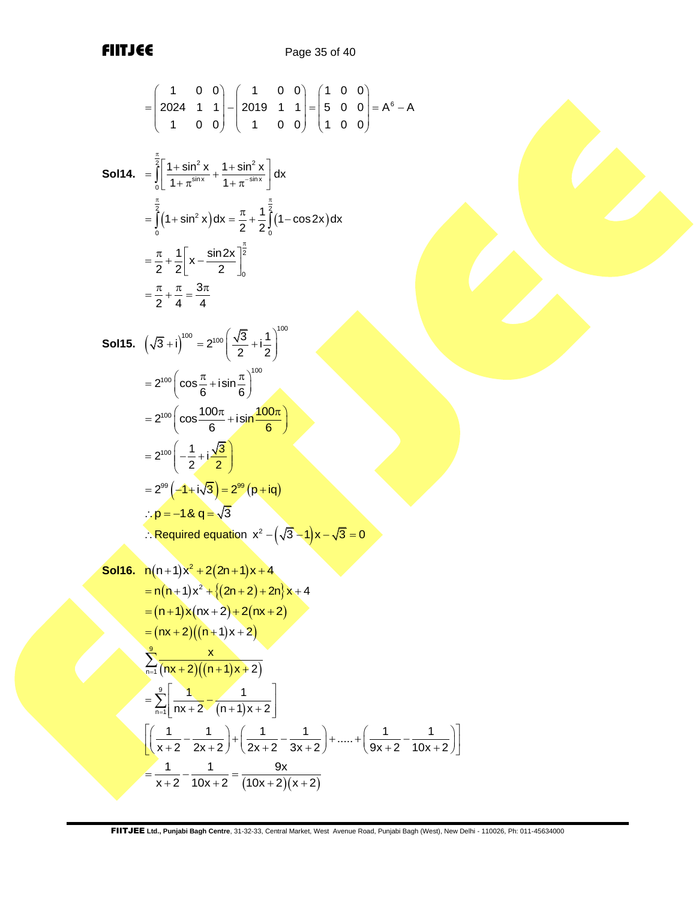$$
= \left( \begin{array}{ccc} 1 & 0 & 0 \\ 2024 & 1 & 1 \\ 1 & 0 & 0 \end{array} \right) - \left( \begin{array}{ccc} 1 & 0 & 0 \\ 2019 & 1 & 1 \\ 1 & 0 & 0 \end{array} \right) = \left( \begin{array}{ccc} 1 & 0 & 0 \\ 5 & 0 & 0 \\ 1 & 0 & 0 \end{array} \right) = A^6 - A
$$
  
\n**Sol14.** 
$$
= \int_{0}^{\frac{\pi}{2}} \left( \frac{1 + \sin^2 x}{1 + \pi^{\sin x}} + \frac{1 + \sin^2 x}{1 + \pi^{\frac{\pi}{\sin x}}} \right) dx
$$
  
\n
$$
= \int_{0}^{\frac{\pi}{2}} (1 + \sin^2 x) dx = \frac{\pi}{2} + \frac{1}{2} \int_{0}^{\frac{\pi}{2}} (1 - \cos 2x) dx
$$
  
\n
$$
= \frac{\pi}{2} + \frac{1}{2} \left[ x - \frac{\sin 2x}{2} \right]_{0}^{\frac{\pi}{2}}
$$
  
\n
$$
= \frac{\pi}{2} + \frac{\pi}{4} = \frac{3\pi}{4}
$$
  
\n**Sol15.**  $(\sqrt{3} + i)^{100} = 2^{100} \left( \frac{\sqrt{3}}{2} + i \frac{1}{2} \right)^{100}$   
\n
$$
= 2^{100} \left( \cos \frac{\pi}{6} + i \sin \frac{\pi}{6} \right)^{100}
$$
  
\n
$$
= 2^{100} \left( -\frac{1}{2} + i \frac{\sqrt{3}}{2} \right)
$$
  
\n
$$
= 2^{90} \left( -1 + i\sqrt{3} \right) = 2^{99} \left( p + iq \right)
$$
  
\n
$$
\therefore p = -1 & q = \sqrt{3}
$$
  
\n
$$
\therefore \text{ Required equation } x^2 - (\sqrt{3} - 1)x - \sqrt{3} = 0
$$
  
\n**Sol16.**  $n(n + 1)x^2 + 2(2n + 1)x + 4$   
\n
$$
= n(n + 1)x^2 + \{(2n + 2) + 2n\}x +
$$

$$
= (n+1)x(nx+2)+2(nx+2)
$$
\n
$$
= (nx+2)((n+1)x+2)
$$
\n
$$
\sum_{n=1}^{9} \frac{x}{(nx+2)((n+1)x+2)}
$$
\n
$$
= \sum_{n=1}^{9} \left[ \frac{1}{nx+2} - \frac{1}{(n+1)x+2} \right]
$$
\n
$$
\left[ \left( \frac{1}{x+2} - \frac{1}{2x+2} \right) + \left( \frac{1}{2x+2} - \frac{1}{3x+2} \right) + \dots + \left( \frac{1}{9x+2} - \frac{1}{10x+2} \right) \right]
$$
\n
$$
= \frac{1}{x+2} - \frac{1}{10x+2} = \frac{9x}{(10x+2)(x+2)}
$$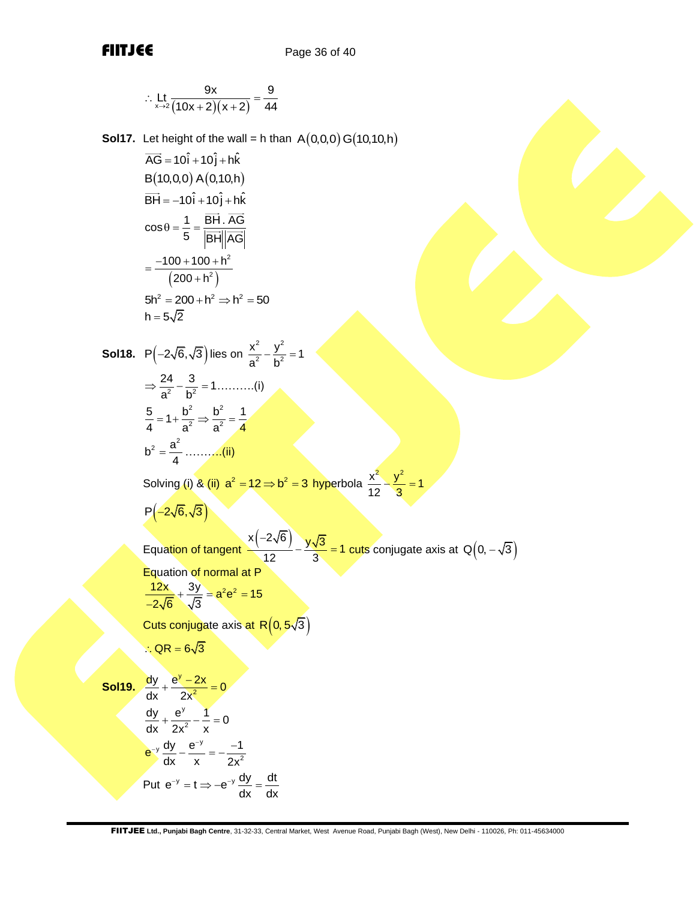$$
\therefore \mathsf{Lt} \frac{9x}{(10x+2)(x+2)} = \frac{9}{44}
$$

**Sol17.** Let height of the wall = h than  $A(0,0,0) G(10,10,h)$ 

$$
\overrightarrow{AG} = 10\hat{i} + 10\hat{j} + h\hat{k}
$$
\n
$$
B(10,0,0) A(0,10,h)
$$
\n
$$
\overrightarrow{BH} = -10\hat{i} + 10\hat{j} + h\hat{k}
$$
\n
$$
\cos\theta = \frac{1}{5} = \frac{\overrightarrow{BH} \cdot \overrightarrow{AG}}{|\overrightarrow{BH}||\overrightarrow{AG}|}
$$
\n
$$
= \frac{-100 + 100 + h^2}{(200 + h^2)}
$$
\n
$$
5h^2 = 200 + h^2 \Rightarrow h^2 = 50
$$
\n
$$
h = 5\sqrt{2}
$$

**Sol18.** P
$$
\left(-2\sqrt{6}, \sqrt{3}\right)
$$
 lies on  $\frac{x^2}{a^2} - \frac{y^2}{b^2} = 1$   
\n $\Rightarrow \frac{24}{a^2} - \frac{3}{b^2} = 1$ ........(i)  
\n $\frac{5}{4} = 1 + \frac{b^2}{a^2} \Rightarrow \frac{b^2}{a^2} = \frac{1}{4}$   
\n $b^2 = \frac{a^2}{4}$ ........(ii)

Solving (i) & (ii)  $a^2 = 12 \Rightarrow b^2 = 3$  hyperbola  $\frac{x^2}{12} - \frac{y^2}{3} = 1$ 

 $P(-2\sqrt{6},\sqrt{3})$ 

Equation of tangent  $\frac{x(-2\sqrt{6})}{12} - \frac{y\sqrt{3}}{2} = 1$ 12 3  $\frac{-2\sqrt{6}}{12}$  –  $\frac{y\sqrt{3}}{2}$  = 1 cuts conjugate axis at Q(0, –  $\sqrt{3}$ )

Equation of normal at P

$$
\frac{12x}{-2\sqrt{6}} + \frac{3y}{\sqrt{3}} = a^2 e^2 = 15
$$

Cuts conjugate axis at  $R(0, 5\sqrt{3})$ 

 $\therefore$  QR = 6 $\sqrt{3}$ 

y

 $+\frac{e^y-2x}{2^2}=0$ 

$$
Sol19. \quad \frac{dy}{dx} + \frac{e^y - 2x}{2x^2} = 0
$$

$$
\frac{dy}{dx} + \frac{e^{y}}{2x^{2}} - \frac{1}{x} = 0
$$
  

$$
e^{-y} \frac{dy}{dx} - \frac{e^{-y}}{x} = -\frac{-1}{2x^{2}}
$$
  
Put  $e^{-y} = t \Rightarrow -e^{-y} \frac{dy}{dx} = \frac{dt}{dx}$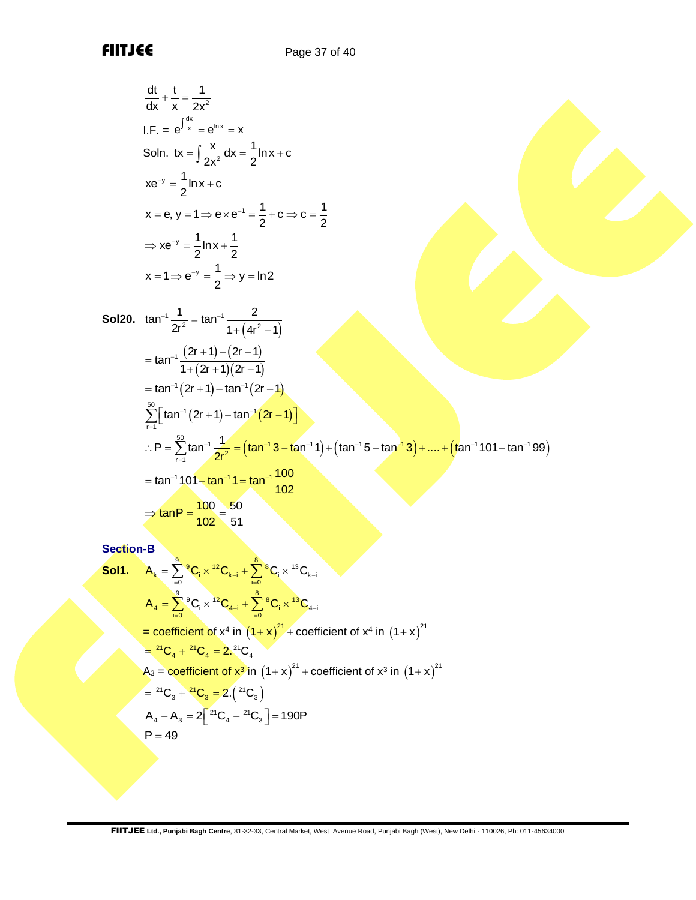$$
\frac{dt}{dx} + \frac{t}{x} = \frac{1}{2x^2}
$$
\n  
\nI.F. =  $e^{\int \frac{dx}{x}} = e^{\ln x} = x$   
\n  
\nSoln.  $tx = \int \frac{x}{2x^2} dx = \frac{1}{2} \ln x + c$   
\n $xe^{-y} = \frac{1}{2} \ln x + c$   
\n $x = e, y = 1 \Rightarrow e \times e^{-1} = \frac{1}{2} + c \Rightarrow c = \frac{1}{2}$   
\n $\Rightarrow xe^{-y} = \frac{1}{2} \ln x + \frac{1}{2}$   
\n $x = 1 \Rightarrow e^{-y} = \frac{1}{2} \Rightarrow y = \ln 2$ 

Sol20. 
$$
\tan^{-1} \frac{1}{2r^2} = \tan^{-1} \frac{2}{1 + (4r^2 - 1)}
$$
  
\n
$$
= \tan^{-1} \frac{(2r + 1) - (2r - 1)}{1 + (2r + 1)(2r - 1)}
$$
\n
$$
= \tan^{-1} (2r + 1) - \tan^{-1} (2r - 1)
$$
\n
$$
\sum_{r=1}^{50} [\tan^{-1} (2r + 1) - \tan^{-1} (2r - 1)]
$$
\n
$$
\therefore P = \sum_{r=1}^{50} \tan^{-1} \frac{1}{2r^2} = (\tan^{-1} 3 - \tan^{-1} 1) + (\tan^{-1} 5 - \tan^{-1} 3) + .... + (\tan^{-1} 101 - \tan^{-1} 99)
$$
\n
$$
= \tan^{-1} 101 - \tan^{-1} 1 = \tan^{-1} \frac{100}{102}
$$
\n
$$
\Rightarrow \tan P = \frac{100}{102} = \frac{50}{51}
$$

**Section-B**

Section-B  
\n**Sol1.** 
$$
A_{k} = \sum_{i=0}^{9} {}^{9}C_{i} \times {}^{12}C_{k-i} + \sum_{i=0}^{8} {}^{8}C_{i} \times {}^{13}C_{k-i}
$$
\n
$$
A_{4} = \sum_{i=0}^{9} {}^{9}C_{i} \times {}^{12}C_{4-i} + \sum_{i=0}^{8} {}^{8}C_{i} \times {}^{13}C_{4-i}
$$
\n= coefficient of x<sup>4</sup> in  $(1+x)^{21}$  + coefficient of x<sup>4</sup> in  $(1+x)^{21}$   
\n
$$
= {}^{21}C_{4} + {}^{21}C_{4} = 2.{}^{21}C_{4}
$$
\n
$$
A_{3} = \text{coefficient of } x^{3} \text{ in } (1+x)^{21} + \text{coefficient of } x^{3} \text{ in } (1+x)^{21}
$$
\n
$$
= {}^{21}C_{3} + {}^{21}C_{3} = 2.({}^{21}C_{3})
$$
\n
$$
A_{4} - A_{3} = 2[^{21}C_{4} - {}^{21}C_{3}] = 190P
$$
\n
$$
P = 49
$$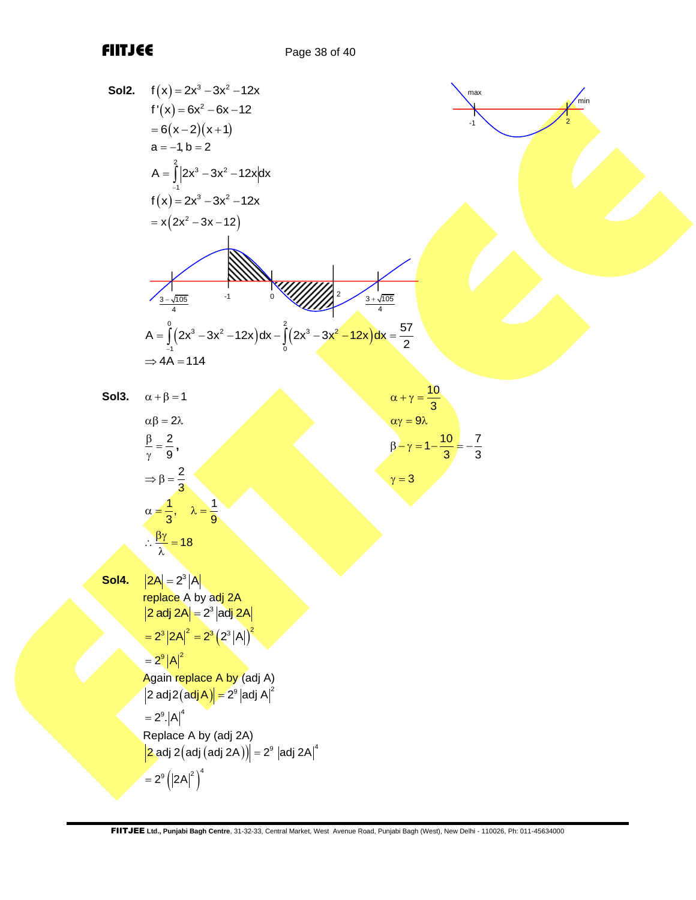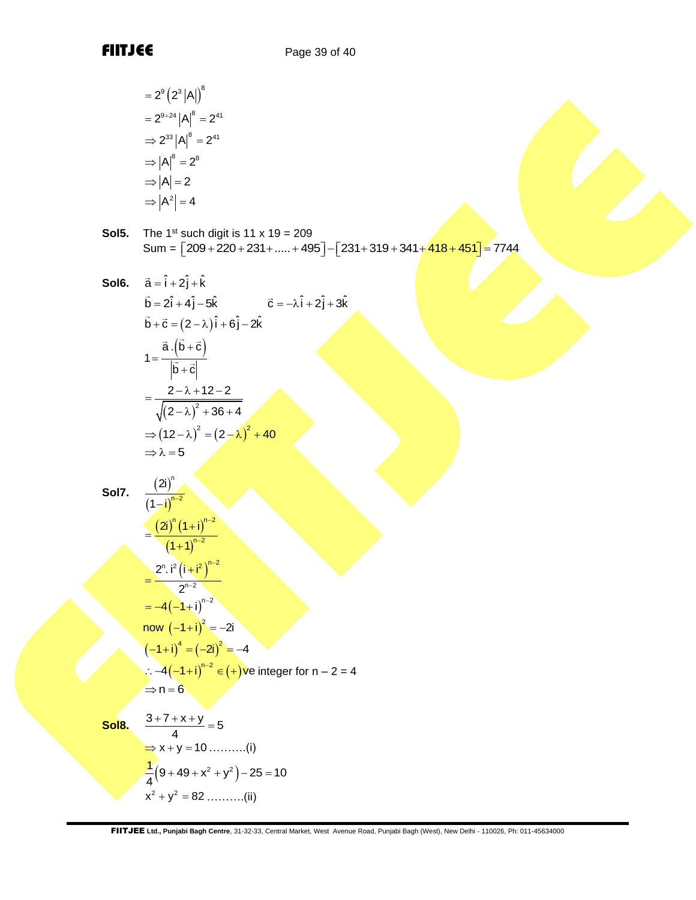$$
= 29 (23 |A|)8
$$
  
= 2<sup>9+24</sup> |A|<sup>8</sup> = 2<sup>41</sup>  

$$
\Rightarrow 233 |A|8 = 241
$$
  

$$
\Rightarrow |A|8 = 28
$$
  

$$
\Rightarrow |A| = 2
$$
  

$$
\Rightarrow |A2| = 4
$$

**Sol5.** The 1<sup>st</sup> such digit is  $11 \times 19 = 209$ Sum = such digit is 11 x 19 = 209<br>[209 + 220 + 231 + ..... + 495 ] – [231 + 319 + 341 <mark>+ 418 + 451 ]</mark> = 7744

Sol6. 
$$
\vec{a} = \hat{i} + 2\hat{j} + \hat{k}
$$

\n
$$
\vec{b} = 2\hat{i} + 4\hat{j} - 5\hat{k}
$$

\n
$$
\vec{b} + \vec{c} = (2 - \lambda)\hat{i} + 6\hat{j} - 2\hat{k}
$$

\n
$$
1 = \frac{\vec{a} \cdot (\vec{b} + \vec{c})}{|\vec{b} + \vec{c}|}
$$

\n
$$
= \frac{2 - \lambda + 12 - 2}{\sqrt{(2 - \lambda)^2 + 36 + 4}}
$$

\n
$$
\Rightarrow (12 - \lambda)^2 = (2 - \lambda)^2 + 40
$$

\n
$$
\Rightarrow \lambda = 5
$$

**Sol7.**

 $(2i)^n$ 

$$
\frac{(1-i)^{n-2}}{2} = \frac{(2i)^n (1+i)^{n-2}}{(1+1)^{n-2}}
$$
  
= 
$$
\frac{2^n \cdot i^2 (i+i^2)^{n-2}}{2^{n-2}}
$$
  
= 
$$
-4(-1+i)^{n-2}
$$
  
now  $(-1+i)^2 = -2i$   

$$
(-1+i)^4 = (-2i)^2 = -4
$$
  
∴ 
$$
-4(-1+i)^{n-2} \in (+)
$$
ve integer for n – 2 = 4  
⇒ n = 6

**Sol8.**

$$
\frac{3+7+x+y}{4} = 5
$$
  
\n
$$
\Rightarrow x+y = 10 \dots \dots \dots (i)
$$
  
\n
$$
\frac{1}{4}(9+49+x^2+y^2) - 25 = 10
$$
  
\n
$$
x^2 + y^2 = 82 \dots \dots \dots (ii)
$$